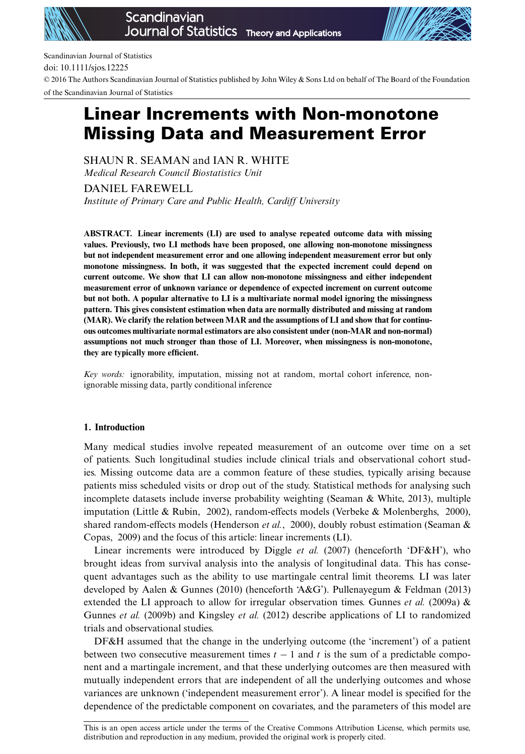



Scandinavian Journal of Statistics

doi: 10.1111/sjos.12225

© 2016 The Authors Scandinavian Journal of Statistics published by John Wiley & Sons Ltd on behalf of The Board of the Foundation of the Scandinavian Journal of Statistics

# Linear Increments with Non-monotone Missing Data and Measurement Error

SHAUN R. SEAMAN and IAN R. WHITE *Medical Research Council Biostatistics Unit*

DANIEL FAREWELL *Institute of Primary Care and Public Health, Cardiff University*

**ABSTRACT. Linear increments (LI) are used to analyse repeated outcome data with missing values. Previously, two LI methods have been proposed, one allowing non-monotone missingness but not independent measurement error and one allowing independent measurement error but only monotone missingness. In both, it was suggested that the expected increment could depend on current outcome. We show that LI can allow non-monotone missingness and either independent measurement error of unknown variance or dependence of expected increment on current outcome but not both. A popular alternative to LI is a multivariate normal model ignoring the missingness pattern. This gives consistent estimation when data are normally distributed and missing at random (MAR). We clarify the relation between MAR and the assumptions of LI and show that for continuous outcomes multivariate normal estimators are also consistent under (non-MAR and non-normal) assumptions not much stronger than those of LI. Moreover, when missingness is non-monotone, they are typically more efficient.**

*Key words:* ignorability, imputation, missing not at random, mortal cohort inference, nonignorable missing data, partly conditional inference

# **1. Introduction**

Many medical studies involve repeated measurement of an outcome over time on a set of patients. Such longitudinal studies include clinical trials and observational cohort studies. Missing outcome data are a common feature of these studies, typically arising because patients miss scheduled visits or drop out of the study. Statistical methods for analysing such incomplete datasets include inverse probability weighting (Seaman & White, 2013), multiple imputation (Little & Rubin, 2002), random-effects models (Verbeke & Molenberghs, 2000), shared random-effects models (Henderson *et al.*, 2000), doubly robust estimation (Seaman & Copas, 2009) and the focus of this article: linear increments (LI).

Linear increments were introduced by Diggle *et al.* (2007) (henceforth 'DF&H'), who brought ideas from survival analysis into the analysis of longitudinal data. This has consequent advantages such as the ability to use martingale central limit theorems. LI was later developed by Aalen & Gunnes (2010) (henceforth 'A&G'). Pullenayegum & Feldman (2013) extended the LI approach to allow for irregular observation times. Gunnes *et al.* (2009a)  $\&$ Gunnes *et al.* (2009b) and Kingsley *et al.* (2012) describe applications of LI to randomized trials and observational studies.

DF&H assumed that the change in the underlying outcome (the 'increment') of a patient between two consecutive measurement times  $t - 1$  and t is the sum of a predictable component and a martingale increment, and that these underlying outcomes are then measured with mutually independent errors that are independent of all the underlying outcomes and whose variances are unknown ('independent measurement error'). A linear model is specified for the dependence of the predictable component on covariates, and the parameters of this model are

This is an open access article under the terms of the [Creative Commons Attribution](http://creativecommons.org/licenses/by/3.0/) License, which permits use, distribution and reproduction in any medium, provided the original work is properly cited.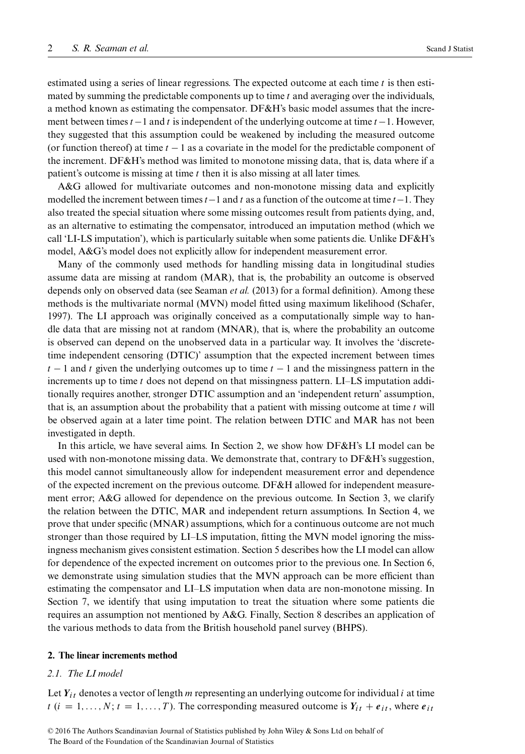estimated using a series of linear regressions. The expected outcome at each time  $t$  is then estimated by summing the predictable components up to time  $t$  and averaging over the individuals, a method known as estimating the compensator. DF&H's basic model assumes that the increment between times  $t - 1$  and t is independent of the underlying outcome at time  $t - 1$ . However, they suggested that this assumption could be weakened by including the measured outcome (or function thereof) at time  $t - 1$  as a covariate in the model for the predictable component of the increment. DF&H's method was limited to monotone missing data, that is, data where if a patient's outcome is missing at time  $t$  then it is also missing at all later times.

A&G allowed for multivariate outcomes and non-monotone missing data and explicitly modelled the increment between times  $t-1$  and t as a function of the outcome at time  $t-1$ . They also treated the special situation where some missing outcomes result from patients dying, and, as an alternative to estimating the compensator, introduced an imputation method (which we call 'LI-LS imputation'), which is particularly suitable when some patients die. Unlike DF&H's model, A&G's model does not explicitly allow for independent measurement error.

Many of the commonly used methods for handling missing data in longitudinal studies assume data are missing at random (MAR), that is, the probability an outcome is observed depends only on observed data (see [Seaman](#page-22-0) *et al.* (2013) for a formal definition). Among these methods is the multivariate normal (MVN) model fitted using maximum likelihood (Schafer, 1997). The LI approach was originally conceived as a computationally simple way to handle data that are missing not at random (MNAR), that is, where the probability an outcome is observed can depend on the unobserved data in a particular way. It involves the 'discretetime independent censoring (DTIC)' assumption that the expected increment between times  $t - 1$  and t given the underlying outcomes up to time  $t - 1$  and the missingness pattern in the increments up to time t does not depend on that missingness pattern. LI–LS imputation additionally requires another, stronger DTIC assumption and an 'independent return' assumption, that is, an assumption about the probability that a patient with missing outcome at time  $t$  will be observed again at a later time point. The relation between DTIC and MAR has not been investigated in depth.

In this article, we have several aims. In Section [2,](#page-1-0) we show how DF&H's LI model can be used with non-monotone missing data. We demonstrate that, contrary to DF&H's suggestion, this model cannot simultaneously allow for independent measurement error and dependence of the expected increment on the previous outcome. DF&H allowed for independent measurement error; A&G allowed for dependence on the previous outcome. In Section [3,](#page-5-0) we clarify the relation between the DTIC, MAR and independent return assumptions. In Section [4,](#page-7-0) we prove that under specific (MNAR) assumptions, which for a continuous outcome are not much stronger than those required by LI–LS imputation, fitting the MVN model ignoring the missingness mechanism gives consistent estimation. Section [5](#page-10-0) describes how the LI model can allow for dependence of the expected increment on outcomes prior to the previous one. In Section [6,](#page-11-0) we demonstrate using simulation studies that the MVN approach can be more efficient than estimating the compensator and LI–LS imputation when data are non-monotone missing. In Section [7,](#page-14-0) we identify that using imputation to treat the situation where some patients die requires an assumption not mentioned by A&G. Finally, Section [8](#page-17-0) describes an application of the various methods to data from the British household panel survey (BHPS).

# <span id="page-1-0"></span>**2. The linear increments method**

# *2.1. The LI model*

Let  $Y_{it}$  denotes a vector of length m representing an underlying outcome for individual i at time  $t$  ( $i = 1, ..., N; t = 1, ..., T$ ). The corresponding measured outcome is  $Y_{it} + e_{it}$ , where  $e_{it}$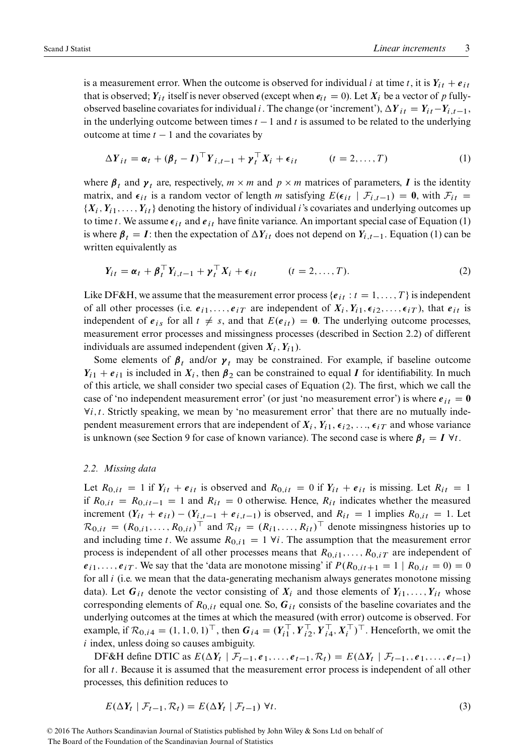is a measurement error. When the outcome is observed for individual i at time t, it is  $Y_{it} + e_{it}$ that is observed;  $Y_{it}$  itself is never observed (except when  $e_{it} = 0$ ). Let  $X_i$  be a vector of p fullyobserved baseline covariates for individual i. The change (or 'increment'),  $\Delta Y_{it} = Y_{it} - Y_{i,t-1}$ , in the underlying outcome between times  $t - 1$  and t is assumed to be related to the underlying outcome at time  $t - 1$  and the covariates by

<span id="page-2-0"></span>
$$
\Delta Y_{it} = \boldsymbol{\alpha}_t + (\boldsymbol{\beta}_t - \boldsymbol{I})^{\top} \boldsymbol{Y}_{i,t-1} + \boldsymbol{\gamma}_t^{\top} \boldsymbol{X}_i + \boldsymbol{\epsilon}_{it} \qquad (t = 2, \dots, T)
$$
 (1)

where  $\beta_t$  and  $\gamma_t$  are, respectively,  $m \times m$  and  $p \times m$  matrices of parameters, I is the identity matrix, and  $\epsilon_{it}$  is a random vector of length m satisfying  $E(\epsilon_{it} | \mathcal{F}_{i,t-1}) = \mathbf{0}$ , with  $\mathcal{F}_{it} =$  $\{X_i, Y_{i1}, \ldots, Y_{it}\}\$  denoting the history of individual i's covariates and underlying outcomes up to time t. We assume  $\epsilon_{it}$  and  $\epsilon_{it}$  have finite variance. An important special case of Equation [\(1\)](#page-2-0) is where  $\beta_t = I$ : then the expectation of  $\Delta Y_{it}$  does not depend on  $Y_{i,t-1}$ . Equation [\(1\)](#page-2-0) can be written equivalently as

<span id="page-2-2"></span>
$$
Y_{it} = \boldsymbol{\alpha}_t + \boldsymbol{\beta}_t^\top \boldsymbol{Y}_{i,t-1} + \boldsymbol{\gamma}_t^\top \boldsymbol{X}_i + \boldsymbol{\epsilon}_{it} \qquad (t = 2, \dots, T). \tag{2}
$$

Like DF&H, we assume that the measurement error process { $e_{it}$  :  $t = 1, \ldots, T$ } is independent of all other processes (i.e.  $e_{i1},\ldots,e_{iT}$  are independent of  $X_i, Y_{i1}, \epsilon_{i2},\ldots,\epsilon_{iT}$ ), that  $e_{it}$  is independent of  $e_{is}$  for all  $t \neq s$ , and that  $E(e_{it}) = 0$ . The underlying outcome processes, measurement error processes and missingness processes (described in Section [2.2\)](#page-2-1) of different individuals are assumed independent (given  $X_i$ ,  $Y_{i1}$ ).

Some elements of  $\beta_t$  and/or  $\gamma_t$  may be constrained. For example, if baseline outcome  $Y_{i1} + e_{i1}$  is included in  $X_i$ , then  $\beta_2$  can be constrained to equal I for identifiability. In much of this article, we shall consider two special cases of Equation [\(2\)](#page-2-2). The first, which we call the case of 'no independent measurement error' (or just 'no measurement error') is where  $e_{it} = 0$  $\forall i, t$ . Strictly speaking, we mean by 'no measurement error' that there are no mutually independent measurement errors that are independent of  $X_i$ ,  $Y_{i1}$ ,  $\epsilon_{i2}$ , ...,  $\epsilon_{iT}$  and whose variance is unknown (see Section [9](#page-19-0) for case of known variance). The second case is where  $\beta_t = I \,\forall t$ .

#### <span id="page-2-1"></span>*2.2. Missing data*

Let  $R_{0, it} = 1$  if  $Y_{it} + e_{it}$  is observed and  $R_{0, it} = 0$  if  $Y_{it} + e_{it}$  is missing. Let  $R_{it} = 1$ if  $R_{0,i} = R_{0,i} = 1$  and  $R_{it} = 0$  otherwise. Hence,  $R_{it}$  indicates whether the measured increment  $(Y_{it} + e_{it}) - (Y_{i,t-1} + e_{i,t-1})$  is observed, and  $R_{it} = 1$  implies  $R_{0,it} = 1$ . Let  $R_{0,it} = (R_{0,i1},...,R_{0,it})^\top$  and  $R_{it} = (R_{i1},...,R_{it})^\top$  denote missingness histories up to and including time t. We assume  $R_{0,i1} = 1 \forall i$ . The assumption that the measurement error process is independent of all other processes means that  $R_{0,i1},\ldots,R_{0,iT}$  are independent of  $e_{i1},\ldots,e_{iT}$ . We say that the 'data are monotone missing' if  $P(R_{0,i}t+1 = 1 | R_{0,i} = 0) = 0$ for all *i* (i.e. we mean that the data-generating mechanism always generates monotone missing data). Let  $G_{it}$  denote the vector consisting of  $X_i$  and those elements of  $Y_{i1},...,Y_{it}$  whose corresponding elements of  $R_{0,i}$  equal one. So,  $G_{it}$  consists of the baseline covariates and the underlying outcomes at the times at which the measured (with error) outcome is observed. For example, if  $\mathcal{R}_{0,i4} = (1, 1, 0, 1)^\top$ , then  $G_{i4} = (Y_{i1}^\top, Y_{i2}^\top, Y_{i4}^\top, X_i^\top)^\top$ . Henceforth, we omit the  $i$  index, unless doing so causes ambiguity.

DF&H define DTIC as  $E(\Delta Y_t | \mathcal{F}_{t-1}, e_1, \ldots, e_{t-1}, \mathcal{R}_t) = E(\Delta Y_t | \mathcal{F}_{t-1}, e_1, \ldots, e_{t-1})$ for all t. Because it is assumed that the measurement error process is independent of all other processes, this definition reduces to

<span id="page-2-3"></span>
$$
E(\Delta Y_t \mid \mathcal{F}_{t-1}, \mathcal{R}_t) = E(\Delta Y_t \mid \mathcal{F}_{t-1}) \ \forall t. \tag{3}
$$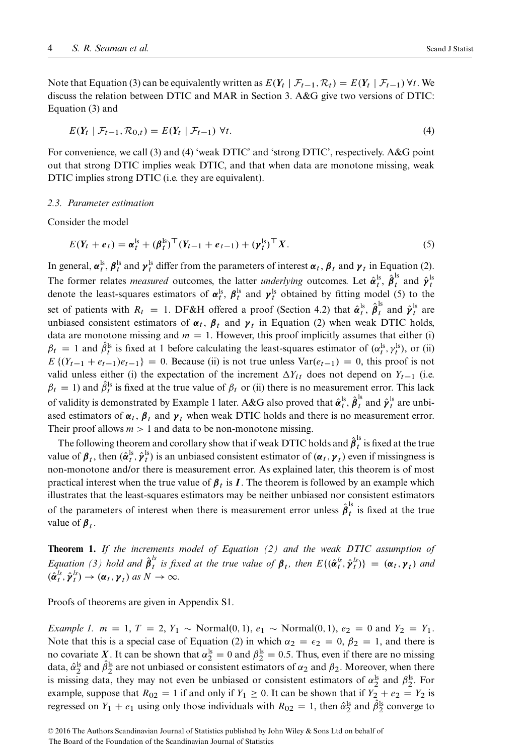Note that Equation [\(3\)](#page-2-3) can be equivalently written as  $E(Y_t | \mathcal{F}_{t-1}, \mathcal{R}_t) = E(Y_t | \mathcal{F}_{t-1}) \forall t$ . We discuss the relation between DTIC and MAR in Section [3.](#page-5-0) A&G give two versions of DTIC: Equation [\(3\)](#page-2-3) and

<span id="page-3-0"></span>
$$
E(Y_t \mid \mathcal{F}_{t-1}, \mathcal{R}_{0,t}) = E(Y_t \mid \mathcal{F}_{t-1}) \ \forall t. \tag{4}
$$

For convenience, we call [\(3\)](#page-2-3) and [\(4\)](#page-3-0) 'weak DTIC' and 'strong DTIC', respectively. A&G point out that strong DTIC implies weak DTIC, and that when data are monotone missing, weak DTIC implies strong DTIC (i.e. they are equivalent).

#### <span id="page-3-4"></span>*2.3. Parameter estimation*

Consider the model

<span id="page-3-1"></span>
$$
E(Y_t + e_t) = \alpha_t^{\mathrm{ls}} + (\beta_t^{\mathrm{ls}})^{\top} (Y_{t-1} + e_{t-1}) + (\gamma_t^{\mathrm{ls}})^{\top} X. \tag{5}
$$

In general,  $\alpha_t^{ls}$ ,  $\beta_t^{ls}$  and  $\gamma_t^{ls}$  differ from the parameters of interest  $\alpha_t$ ,  $\beta_t$  and  $\gamma_t$  in Equation [\(2\)](#page-2-2). The former relates *measured* outcomes, the latter *underlying* outcomes. Let  $\hat{\alpha}_t^{\text{ls}}$ ,  $\hat{\beta}_t^{\text{ls}}$  and  $\hat{\gamma}_t^{\text{ls}}$ denote the least-squares estimators of  $\alpha_t^{ls}$ ,  $\beta_t^{ls}$  and  $\gamma_t^{ls}$  obtained by fitting model [\(5\)](#page-3-1) to the set of patients with  $R_t = 1$ . DF&H offered a proof (Section 4.2) that  $\hat{\alpha}_t^{ls}$ ,  $\hat{\beta}_t^{ls}$  and  $\hat{\gamma}_t^{ls}$  are unbiased consistent estimators of  $\alpha_t$ ,  $\beta_t$  and  $\gamma_t$  in Equation [\(2\)](#page-2-2) when weak DTIC holds, data are monotone missing and  $m = 1$ . However, this proof implicitly assumes that either (i)  $\beta_t = 1$  and  $\hat{\beta}_t^{\text{ls}}$  is fixed at 1 before calculating the least-squares estimator of  $(\alpha_t^{\text{ls}}, \gamma_t^{\text{ls}})$ , or (ii)  $E\{(Y_{t-1} + e_{t-1})e_{t-1}\} = 0$ . Because (ii) is not true unless  $Var(e_{t-1}) = 0$ , this proof is not valid unless either (i) the expectation of the increment  $\Delta Y_{it}$  does not depend on  $Y_{t-1}$  (i.e.  $\beta_t = 1$ ) and  $\hat{\beta}_t^{\text{ls}}$  is fixed at the true value of  $\beta_t$  or (ii) there is no measurement error. This lack of validity is demonstrated by Example [1](#page-3-2) later. A&G also proved that  $\hat{\alpha}_t^{\rm ls}, \hat{\beta}_t^{\rm ls}$  and  $\hat{\gamma}_t^{\rm ls}$  are unbiased estimators of  $\alpha_t$ ,  $\beta_t$  and  $\gamma_t$  when weak DTIC holds and there is no measurement error. Their proof allows  $m>1$  and data to be non-monotone missing.

The following theorem and corollary show that if weak DTIC holds and  $\hat{{\pmb \beta}}_t^{\rm ls}$  is fixed at the true value of  $\beta_t$ , then  $(\hat{\alpha}_t^{ls}, \hat{\gamma}_t^{ls})$  is an unbiased consistent estimator of  $(\alpha_t, \gamma_t)$  even if missingness is non-monotone and/or there is measurement error. As explained later, this theorem is of most practical interest when the true value of  $\beta_t$  is I. The theorem is followed by an example which illustrates that the least-squares estimators may be neither unbiased nor consistent estimators of the parameters of interest when there is measurement error unless  $\hat{\beta}_t^{\text{ls}}$  is fixed at the true value of  $\beta_t$ .

<span id="page-3-3"></span>**Theorem 1.** *If the increments model of Equation [\(2\)](#page-2-2) and the weak DTIC assumption of Equation [\(3\)](#page-2-3)* hold and  $\hat{\beta}_t^{ls}$  is fixed at the true value of  $\beta_t$ , then  $E\{(\hat{\alpha}_t^{ls}, \hat{\gamma}_t^{ls})\} = (\alpha_t, \gamma_t)$  and  $(\hat{\boldsymbol{\alpha}}_t^{ls}, \hat{\boldsymbol{\gamma}}_t^{ls}) \rightarrow (\boldsymbol{\alpha}_t, \boldsymbol{\gamma}_t) \text{ as } N \rightarrow \infty.$ 

Proofs of theorems are given in Appendix S1.

<span id="page-3-2"></span>*Example 1.*  $m = 1, T = 2, Y_1 \sim \text{Normal}(0, 1), e_1 \sim \text{Normal}(0, 1), e_2 = 0$  and  $Y_2 = Y_1$ . Note that this is a special case of Equation [\(2\)](#page-2-2) in which  $\alpha_2 = \epsilon_2 = 0$ ,  $\beta_2 = 1$ , and there is no covariate X. It can be shown that  $\alpha_2^{\rm ls} = 0$  and  $\beta_2^{\rm ls} = 0.5$ . Thus, even if there are no missing data,  $\hat{\alpha}_2^{\text{ls}}$  and  $\hat{\beta}_2^{\text{ls}}$  are not unbiased or consistent estimators of  $\alpha_2$  and  $\beta_2$ . Moreover, when there is missing data, they may not even be unbiased or consistent estimators of  $\alpha_2^{\text{ls}}$  and  $\beta_2^{\text{ls}}$ . For example, suppose that  $R_{02} = 1$  if and only if  $Y_1 \ge 0$ . It can be shown that if  $Y_2 + e_2 = Y_2$  is regressed on  $Y_1 + e_1$  using only those individuals with  $R_{02} = 1$ , then  $\hat{\alpha}_2^{\text{ls}}$  and  $\hat{\beta}_2^{\text{ls}}$  converge to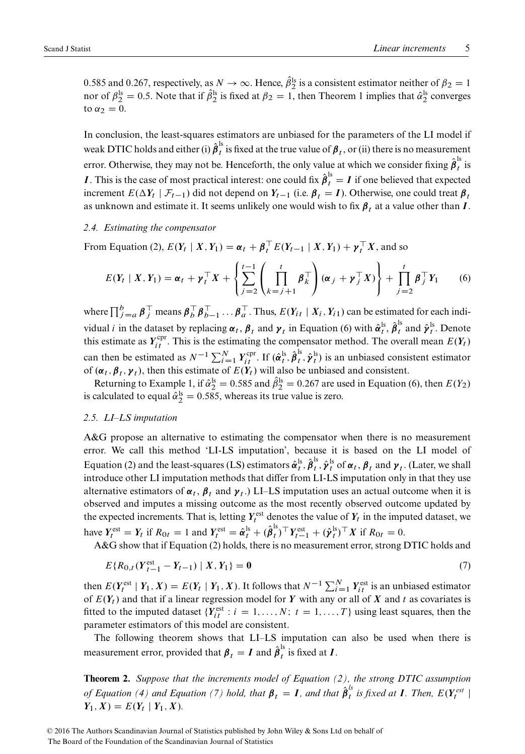0.585 and 0.267, respectively, as  $N \to \infty$ . Hence,  $\hat{\beta}_2^{\text{ls}}$  is a consistent estimator neither of  $\beta_2 = 1$ nor of  $\beta_2^{ls} = 0.5$ . Note that if  $\beta_2^{ls}$  is fixed at  $\beta_2 = 1$  $\beta_2 = 1$ , then Theorem 1 implies that  $\hat{\alpha}_2^{ls}$  converges to  $\alpha_2 = 0$ .

In conclusion, the least-squares estimators are unbiased for the parameters of the LI model if weak DTIC holds and either (i)  $\hat{\pmb{\beta}}^{\rm ls}_t$  is fixed at the true value of  $\pmb{\beta}_t$  , or (ii) there is no measurement error. Otherwise, they may not be. Henceforth, the only value at which we consider fixing  $\hat{\beta}_t^{\text{ls}}$  is **I**. This is the case of most practical interest: one could fix  $\hat{\beta}_t^{\text{ls}} = I$  if one believed that expected increment  $E(\Delta Y_t | \mathcal{F}_{t-1})$  did not depend on  $Y_{t-1}$  (i.e.  $\beta_t = I$ ). Otherwise, one could treat  $\beta_t$ as unknown and estimate it. It seems unlikely one would wish to fix  $\beta_t$ , at a value other than I.

#### *2.4. Estimating the compensator*

From Equation [\(2\)](#page-2-2),  $E(Y_t | X, Y_1) = \alpha_t + \beta_t^T E(Y_{t-1} | X, Y_1) + \gamma_t^T X$ , and so

<span id="page-4-0"></span>
$$
E(Y_t | X, Y_1) = \boldsymbol{\alpha}_t + \boldsymbol{\gamma}_t^{\top} X + \left\{ \sum_{j=2}^{t-1} \left( \prod_{k=j+1}^t \boldsymbol{\beta}_k^{\top} \right) (\boldsymbol{\alpha}_j + \boldsymbol{\gamma}_j^{\top} X) \right\} + \prod_{j=2}^t \boldsymbol{\beta}_j^{\top} Y_1 \qquad (6)
$$

where  $\prod_{j=a}^{b} \beta_j^{\top}$  means  $\beta_b^{\top} \beta_{b-1}^{\top} \dots \beta_a^{\top}$ . Thus,  $E(Y_{it} | X_i, Y_{i1})$  can be estimated for each individual *i* in the dataset by replacing  $\alpha_t$ ,  $\beta_t$  and  $\gamma_t$  in Equation [\(6\)](#page-4-0) with  $\hat{\alpha}_t^{\text{ls}}$ ,  $\hat{\beta}_t^{\text{ls}}$  and  $\hat{\gamma}_t^{\text{ls}}$ . Denote this estimate as  $Y_{it}^{\text{cpr}}$ . This is the estimating the compensator method. The overall mean  $E(Y_t)$ can then be estimated as  $N^{-1} \sum_{i=1}^{N} Y_{it}^{\text{cpr}}$ . If  $(\hat{\alpha}_t^{\text{ls}}, \hat{\beta}_t^{\text{ls}}, \hat{\gamma}_t^{\text{ls}})$  is an unbiased consistent estimator of  $(\alpha_t, \beta_t, \gamma_t)$ , then this estimate of  $E(Y_t)$  will also be unbiased and consistent.

Returning to Example [1,](#page-3-2) if  $\hat{\alpha}_2^{\text{ls}} = 0.585$  and  $\hat{\beta}_2^{\text{ls}} = 0.267$  are used in Equation [\(6\)](#page-4-0), then  $E(Y_2)$ is calculated to equal  $\hat{\alpha}_2^{\text{ls}} = 0.585$ , whereas its true value is zero.

# <span id="page-4-3"></span>*2.5. LI–LS imputation*

A&G propose an alternative to estimating the compensator when there is no measurement error. We call this method 'LI-LS imputation', because it is based on the LI model of Equation [\(2\)](#page-2-2) and the least-squares (LS) estimators  $\hat{\alpha}_t^{ls}$ ,  $\hat{\beta}_t^{ls}$ ,  $\hat{\gamma}_t^{ls}$  of  $\alpha_t$ ,  $\beta_t$  and  $\gamma_t$ . (Later, we shall introduce other LI imputation methods that differ from LI-LS imputation only in that they use alternative estimators of  $\alpha_t$ ,  $\beta_t$  and  $\gamma_t$ .) LI–LS imputation uses an actual outcome when it is observed and imputes a missing outcome as the most recently observed outcome updated by the expected increments. That is, letting  $Y_t^{\text{est}}$  denotes the value of  $Y_t$  in the imputed dataset, we have  $Y_t^{\text{est}} = Y_t$  if  $R_{0t} = 1$  and  $Y_t^{\text{est}} = \hat{\boldsymbol{\alpha}}_t^{\text{ls}} + (\hat{\boldsymbol{\beta}}_t^{\text{ls}})^{\top} Y_{t-1}^{\text{est}} + (\hat{\boldsymbol{\gamma}}_t^{\text{ls}})^{\top} X$  if  $R_{0t} = 0$ .

A&G show that if Equation [\(2\)](#page-2-2) holds, there is no measurement error, strong DTIC holds and

<span id="page-4-1"></span>
$$
E\{R_{0,t}(Y_{t-1}^{\text{est}} - Y_{t-1}) \mid X, Y_1\} = \mathbf{0}
$$
\n(7)

then  $E(Y_t^{\text{est}} | Y_1, X) = E(Y_t | Y_1, X)$ . It follows that  $N^{-1} \sum_{i=1}^{N} Y_{it}^{\text{est}}$  is an unbiased estimator of  $E(Y_t)$  and that if a linear regression model for Y with any or all of X and t as covariates is fitted to the imputed dataset  $\{Y_{it}^{\text{est}} : i = 1, ..., N; t = 1, ..., T\}$  using least squares, then the parameter estimators of this model are consistent.

The following theorem shows that LI–LS imputation can also be used when there is measurement error, provided that  $\beta_t = I$  and  $\hat{\beta}_t^{\text{ls}}$  is fixed at  $I$ .

<span id="page-4-2"></span>**Theorem 2.** *Suppose that the increments model of Equation [\(2\)](#page-2-2), the strong DTIC assumption of Equation [\(4\)](#page-3-0) and Equation [\(7\)](#page-4-1) hold, that*  $\beta_t = I$ *, and that*  $\hat{\beta}_t^{ls}$  *is fixed at*  $I$ *. Then,*  $E(Y_t^{est} \mid$  $Y_1, X$  =  $E(Y_t | Y_1, X)$ *.*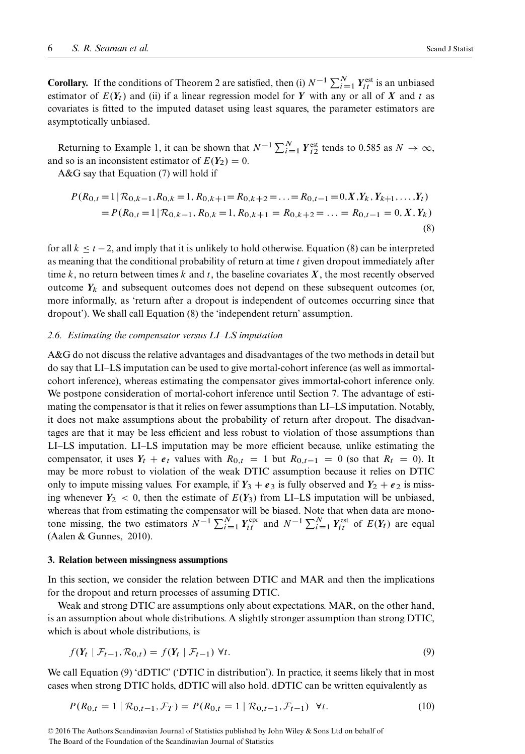**Corollary.** If the conditions of Theorem [2](#page-4-2) are satisfied, then (i)  $N^{-1} \sum_{i=1}^{N} Y_{it}^{\text{est}}$  is an unbiased estimator of  $E(Y_t)$  and (ii) if a linear regression model for Y with any or all of X and t as covariates is fitted to the imputed dataset using least squares, the parameter estimators are asymptotically unbiased.

Returning to Example [1,](#page-3-2) it can be shown that  $N^{-1} \sum_{i=1}^{N} Y_{i2}^{\text{est}}$  tends to 0.585 as  $N \to \infty$ , and so is an inconsistent estimator of  $E(Y_2) = 0$ .

A&G say that Equation [\(7\)](#page-4-1) will hold if

<span id="page-5-1"></span>
$$
P(R_{0,t} = 1 | \mathcal{R}_{0,k-1}, R_{0,k} = 1, R_{0,k+1} = R_{0,k+2} = \dots = R_{0,t-1} = 0, X, Y_k, Y_{k+1}, \dots, Y_t)
$$
  
=  $P(R_{0,t} = 1 | \mathcal{R}_{0,k-1}, R_{0,k} = 1, R_{0,k+1} = R_{0,k+2} = \dots = R_{0,t-1} = 0, X, Y_k)$  (8)

for all  $k \le t - 2$ , and imply that it is unlikely to hold otherwise. Equation [\(8\)](#page-5-1) can be interpreted as meaning that the conditional probability of return at time  $t$  given dropout immediately after time k, no return between times k and t, the baseline covariates  $X$ , the most recently observed outcome  $Y_k$  and subsequent outcomes does not depend on these subsequent outcomes (or, more informally, as 'return after a dropout is independent of outcomes occurring since that dropout'). We shall call Equation [\(8\)](#page-5-1) the 'independent return' assumption.

# <span id="page-5-4"></span>*2.6. Estimating the compensator versus LI–LS imputation*

A&G do not discuss the relative advantages and disadvantages of the two methods in detail but do say that LI–LS imputation can be used to give mortal-cohort inference (as well as immortalcohort inference), whereas estimating the compensator gives immortal-cohort inference only. We postpone consideration of mortal-cohort inference until Section [7.](#page-14-0) The advantage of estimating the compensator is that it relies on fewer assumptions than LI–LS imputation. Notably, it does not make assumptions about the probability of return after dropout. The disadvantages are that it may be less efficient and less robust to violation of those assumptions than LI–LS imputation. LI–LS imputation may be more efficient because, unlike estimating the compensator, it uses  $Y_t + e_t$  values with  $R_{0,t} = 1$  but  $R_{0,t-1} = 0$  (so that  $R_t = 0$ ). It may be more robust to violation of the weak DTIC assumption because it relies on DTIC only to impute missing values. For example, if  $Y_3 + e_3$  is fully observed and  $Y_2 + e_2$  is missing whenever  $Y_2 < 0$ , then the estimate of  $E(Y_3)$  from LI-LS imputation will be unbiased, whereas that from estimating the compensator will be biased. Note that when data are monotone missing, the two estimators  $N^{-1} \sum_{i=1}^{N} Y_{it}^{\text{cpr}}$  and  $N^{-1} \sum_{i=1}^{N} Y_{it}^{\text{est}}$  of  $E(Y_t)$  are equal [\(Aalen & Gunnes, 2010\)](#page-21-0).

## <span id="page-5-0"></span>**3. Relation between missingness assumptions**

In this section, we consider the relation between DTIC and MAR and then the implications for the dropout and return processes of assuming DTIC.

Weak and strong DTIC are assumptions only about expectations. MAR, on the other hand, is an assumption about whole distributions. A slightly stronger assumption than strong DTIC, which is about whole distributions, is

<span id="page-5-2"></span>
$$
f(Y_t \mid \mathcal{F}_{t-1}, \mathcal{R}_{0,t}) = f(Y_t \mid \mathcal{F}_{t-1}) \ \forall t. \tag{9}
$$

We call Equation [\(9\)](#page-5-2) 'dDTIC' ('DTIC' in distribution'). In practice, it seems likely that in most cases when strong DTIC holds, dDTIC will also hold. dDTIC can be written equivalently as

<span id="page-5-3"></span>
$$
P(R_{0,t} = 1 | R_{0,t-1}, \mathcal{F}_T) = P(R_{0,t} = 1 | R_{0,t-1}, \mathcal{F}_{t-1}) \quad \forall t.
$$
 (10)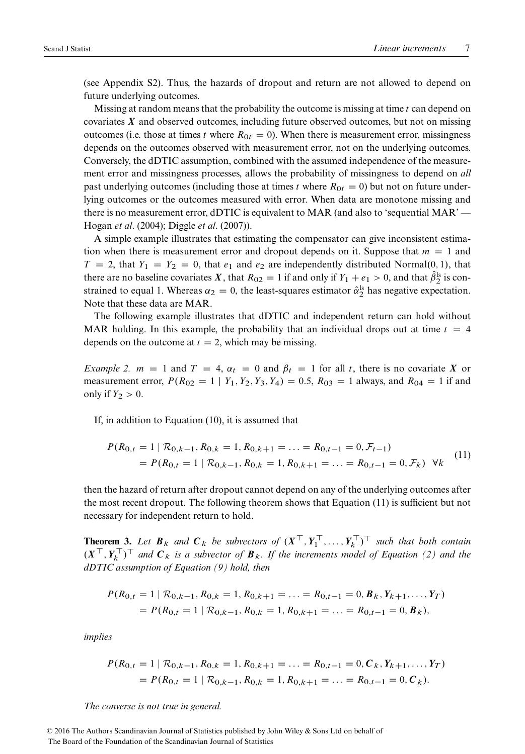(see Appendix S2). Thus, the hazards of dropout and return are not allowed to depend on future underlying outcomes.

Missing at random means that the probability the outcome is missing at time  $t$  can depend on covariates  $X$  and observed outcomes, including future observed outcomes, but not on missing outcomes (i.e. those at times t where  $R_{0t} = 0$ ). When there is measurement error, missingness depends on the outcomes observed with measurement error, not on the underlying outcomes. Conversely, the dDTIC assumption, combined with the assumed independence of the measurement error and missingness processes, allows the probability of missingness to depend on *all* past underlying outcomes (including those at times t where  $R_{0t} = 0$ ) but not on future underlying outcomes or the outcomes measured with error. When data are monotone missing and there is no measurement error, dDTIC is equivalent to MAR (and also to 'sequential MAR' — Hogan *et al*. [\(2004\)](#page-21-1); Diggle *et al*. [\(2007\)](#page-21-2)).

A simple example illustrates that estimating the compensator can give inconsistent estimation when there is measurement error and dropout depends on it. Suppose that  $m = 1$  and  $T = 2$ , that  $Y_1 = Y_2 = 0$ , that  $e_1$  and  $e_2$  are independently distributed Normal $(0, 1)$ , that there are no baseline covariates X, that  $R_{02} = 1$  if and only if  $Y_1 + e_1 > 0$ , and that  $\hat{\beta}_2^{\text{ls}}$  is constrained to equal 1. Whereas  $\alpha_2 = 0$ , the least-squares estimator  $\hat{\alpha}_2^{\text{ls}}$  has negative expectation. Note that these data are MAR.

The following example illustrates that dDTIC and independent return can hold without MAR holding. In this example, the probability that an individual drops out at time  $t = 4$ depends on the outcome at  $t = 2$ , which may be missing.

<span id="page-6-2"></span>*Example 2.*  $m = 1$  and  $T = 4$ ,  $\alpha_t = 0$  and  $\beta_t = 1$  for all t, there is no covariate X or measurement error,  $P(R_{02} = 1 | Y_1, Y_2, Y_3, Y_4) = 0.5$ ,  $R_{03} = 1$  always, and  $R_{04} = 1$  if and only if  $Y_2 > 0$ .

If, in addition to Equation [\(10\)](#page-5-3), it is assumed that

<span id="page-6-0"></span>
$$
P(R_{0,t} = 1 | \mathcal{R}_{0,k-1}, R_{0,k} = 1, R_{0,k+1} = \dots = R_{0,t-1} = 0, \mathcal{F}_{t-1})
$$
  
=  $P(R_{0,t} = 1 | \mathcal{R}_{0,k-1}, R_{0,k} = 1, R_{0,k+1} = \dots = R_{0,t-1} = 0, \mathcal{F}_k)$   $\forall k$  (11)

then the hazard of return after dropout cannot depend on any of the underlying outcomes after the most recent dropout. The following theorem shows that Equation [\(11\)](#page-6-0) is sufficient but not necessary for independent return to hold.

<span id="page-6-1"></span>**Theorem 3.** Let  $B_k$  and  $C_k$  be subvectors of  $(X^{\perp}, Y_1^{\perp}, \ldots, Y_k^{\perp})^{\perp}$  such that both contain  $(X^{\perp}, Y^{\perp}_k)$  and  $C_k$  is a subvector of  $B_k$ . If the increments model of Equation [\(2\)](#page-2-2) and the *dDTIC assumption of Equation [\(9\)](#page-5-2) hold, then*

$$
P(R_{0,t} = 1 | R_{0,k-1}, R_{0,k} = 1, R_{0,k+1} = \dots = R_{0,t-1} = 0, \mathbf{B}_k, Y_{k+1}, \dots, Y_T)
$$
  
=  $P(R_{0,t} = 1 | R_{0,k-1}, R_{0,k} = 1, R_{0,k+1} = \dots = R_{0,t-1} = 0, \mathbf{B}_k),$ 

*implies*

$$
P(R_{0,t} = 1 | \mathcal{R}_{0,k-1}, R_{0,k} = 1, R_{0,k+1} = \dots = R_{0,t-1} = 0, \mathcal{C}_k, Y_{k+1}, \dots, Y_T)
$$
  
=  $P(R_{0,t} = 1 | \mathcal{R}_{0,k-1}, R_{0,k} = 1, R_{0,k+1} = \dots = R_{0,t-1} = 0, \mathcal{C}_k).$ 

*The converse is not true in general.*

© 2016 The Authors Scandinavian Journal of Statistics published by John Wiley & Sons Ltd on behalf of The Board of the Foundation of the Scandinavian Journal of Statistics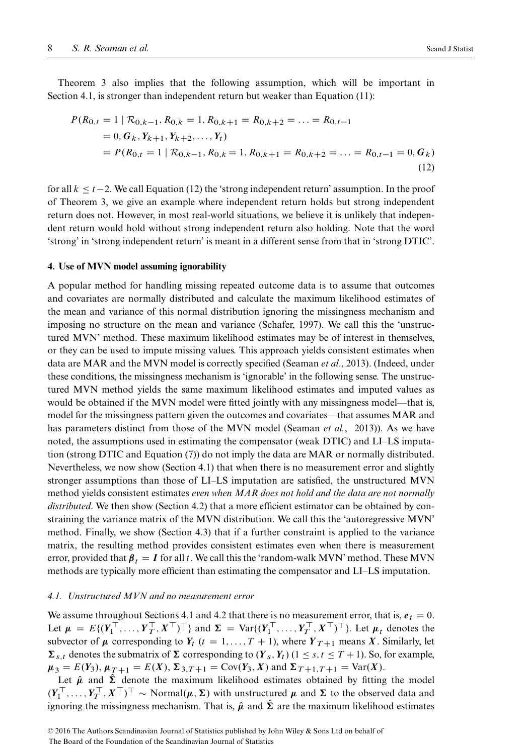Theorem [3](#page-6-1) also implies that the following assumption, which will be important in Section [4.1,](#page-7-1) is stronger than independent return but weaker than Equation [\(11\)](#page-6-0):

<span id="page-7-2"></span>
$$
P(R_{0,t} = 1 | R_{0,k-1}, R_{0,k} = 1, R_{0,k+1} = R_{0,k+2} = \dots = R_{0,t-1}
$$
  
= 0,  $G_k$ ,  $Y_{k+1}$ ,  $Y_{k+2}$ , ...,  $Y_t$ )  
=  $P(R_{0,t} = 1 | R_{0,k-1}, R_{0,k} = 1, R_{0,k+1} = R_{0,k+2} = \dots = R_{0,t-1} = 0, G_k)$   
(12)

for all  $k < t-2$ . We call Equation [\(12\)](#page-7-2) the 'strong independent return' assumption. In the proof of Theorem [3,](#page-6-1) we give an example where independent return holds but strong independent return does not. However, in most real-world situations, we believe it is unlikely that independent return would hold without strong independent return also holding. Note that the word 'strong' in 'strong independent return' is meant in a different sense from that in 'strong DTIC'.

#### <span id="page-7-0"></span>**4. Use of MVN model assuming ignorability**

A popular method for handling missing repeated outcome data is to assume that outcomes and covariates are normally distributed and calculate the maximum likelihood estimates of the mean and variance of this normal distribution ignoring the missingness mechanism and imposing no structure on the mean and variance (Schafer, [1997\)](#page-22-1). We call this the 'unstructured MVN' method. These maximum likelihood estimates may be of interest in themselves, or they can be used to impute missing values. This approach yields consistent estimates when data are MAR and the MVN model is correctly specified (Seaman *et al.*, [2013\)](#page-22-0). (Indeed, under these conditions, the missingness mechanism is 'ignorable' in the following sense. The unstructured MVN method yields the same maximum likelihood estimates and imputed values as would be obtained if the MVN model were fitted jointly with any missingness model—that is, model for the missingness pattern given the outcomes and covariates—that assumes MAR and has parameters distinct from those of the MVN model [\(Seaman](#page-22-0) *et al.*, 2013)). As we have noted, the assumptions used in estimating the compensator (weak DTIC) and LI–LS imputation (strong DTIC and Equation [\(7\)](#page-4-1)) do not imply the data are MAR or normally distributed. Nevertheless, we now show (Section [4.1\)](#page-7-1) that when there is no measurement error and slightly stronger assumptions than those of LI–LS imputation are satisfied, the unstructured MVN method yields consistent estimates *even when MAR does not hold and the data are not normally* distributed. We then show (Section [4.2\)](#page-9-0) that a more efficient estimator can be obtained by constraining the variance matrix of the MVN distribution. We call this the 'autoregressive MVN' method. Finally, we show (Section [4.3\)](#page-10-1) that if a further constraint is applied to the variance matrix, the resulting method provides consistent estimates even when there is measurement error, provided that  $\beta_t = I$  for all t. We call this the 'random-walk MVN' method. These MVN methods are typically more efficient than estimating the compensator and LI–LS imputation.

# <span id="page-7-1"></span>*4.1. Unstructured MVN and no measurement error*

We assume throughout Sections [4.1](#page-7-1) and [4.2](#page-9-0) that there is no measurement error, that is,  $e_t = 0$ . Let  $\mu = E\{(Y_1^+, ..., Y_T^+, X^+)^\perp\}$  and  $\Sigma = \text{Var}\{(Y_1^+, ..., Y_T^+, X^+)^\perp\}$ . Let  $\mu_t$  denotes the subvector of  $\mu$  corresponding to  $Y_t$  ( $t = 1, ..., T + 1$ ), where  $Y_{T+1}$  means X. Similarly, let  $\sum_{s,t}$  denotes the submatrix of  $\Sigma$  corresponding to  $(Y_s, Y_t)$   $(1 \leq s, t \leq T + 1)$ . So, for example,  $\mu_3 = E(Y_3), \mu_{T+1} = E(X), \Sigma_{3,T+1} = \text{Cov}(Y_3, X)$  and  $\Sigma_{T+1, T+1} = \text{Var}(X)$ .

Let  $\hat{\mu}$  and  $\hat{\Sigma}$  denote the maximum likelihood estimates obtained by fitting the model  $(Y_1^+, \ldots, Y_T^+, X^+)^\perp \sim \text{Normal}(\mu, \Sigma)$  with unstructured  $\mu$  and  $\Sigma$  to the observed data and ignoring the missingness mechanism. That is,  $\hat{\mu}$  and  $\hat{\Sigma}$  are the maximum likelihood estimates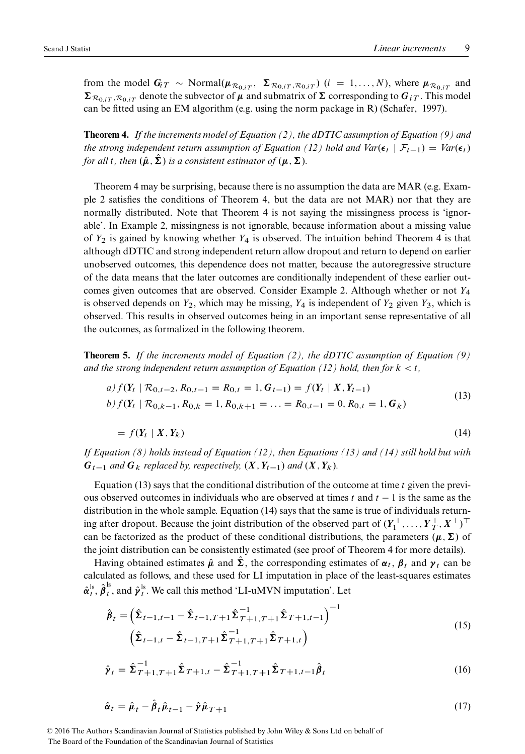from the model  $G_{iT} \sim \text{Normal}(\mu_{\mathcal{R}_{0,iT}}, \Sigma_{\mathcal{R}_{0,iT},\mathcal{R}_{0,iT}})$   $(i = 1, ..., N)$ , where  $\mu_{\mathcal{R}_{0,iT}}$  and  $\sum_{\mathcal{R}_{0,iT},\mathcal{R}_{0,iT}}$  denote the subvector of  $\mu$  and submatrix of  $\Sigma$  corresponding to  $G_{iT}$ . This model can be fitted using an EM algorithm (e.g. using the norm package in R) [\(Schafer, 1997\)](#page-22-1).

<span id="page-8-0"></span>**Theorem 4.** *If the increments model of Equation [\(2\)](#page-2-2), the dDTIC assumption of Equation [\(9\)](#page-5-2) and the strong independent return assumption of Equation [\(12\)](#page-7-2) hold and*  $Var(\epsilon_t | \mathcal{F}_{t-1}) = Var(\epsilon_t)$ *for all t, then*  $(\hat{\mu}, \hat{\Sigma})$  *is a consistent estimator of*  $(\mu, \Sigma)$ *.* 

Theorem [4](#page-8-0) may be surprising, because there is no assumption the data are MAR (e.g. Example [2](#page-6-2) satisfies the conditions of Theorem [4,](#page-8-0) but the data are not MAR) nor that they are normally distributed. Note that Theorem [4](#page-8-0) is not saying the missingness process is 'ignorable'. In Example [2,](#page-6-2) missingness is not ignorable, because information about a missing value of  $Y_2$  is gained by knowing whether  $Y_4$  is observed. The intuition behind Theorem [4](#page-8-0) is that although dDTIC and strong independent return allow dropout and return to depend on earlier unobserved outcomes, this dependence does not matter, because the autoregressive structure of the data means that the later outcomes are conditionally independent of these earlier out-comes given outcomes that are observed. Consider Example [2.](#page-6-2) Although whether or not  $Y_4$ is observed depends on  $Y_2$ , which may be missing,  $Y_4$  is independent of  $Y_2$  given  $Y_3$ , which is observed. This results in observed outcomes being in an important sense representative of all the outcomes, as formalized in the following theorem.

<span id="page-8-5"></span>**Theorem 5.** *If the increments model of Equation [\(2\)](#page-2-2), the dDTIC assumption of Equation [\(9\)](#page-5-2)* and the strong independent return assumption of Equation [\(12\)](#page-7-2) hold, then for  $k < t$ ,

<span id="page-8-2"></span>
$$
a) f(Y_t | R_{0,t-2}, R_{0,t-1} = R_{0,t} = 1, G_{t-1}) = f(Y_t | X, Y_{t-1})
$$
  

$$
b) f(Y_t | R_{0,k-1}, R_{0,k} = 1, R_{0,k+1} = ... = R_{0,t-1} = 0, R_{0,t} = 1, G_k)
$$
 (13)

<span id="page-8-1"></span>
$$
= f(Y_t \mid X, Y_k) \tag{14}
$$

*If Equation [\(8\)](#page-5-1) holds instead of Equation [\(12\)](#page-7-2), then Equations [\(13\)](#page-8-1) and [\(14\)](#page-8-2) still hold but with*  $G_{t-1}$  *and*  $G_k$  *replaced by, respectively,*  $(X, Y_{t-1})$  *and*  $(X, Y_k)$ *.* 

Equation [\(13\)](#page-8-1) says that the conditional distribution of the outcome at time  $t$  given the previous observed outcomes in individuals who are observed at times t and  $t - 1$  is the same as the distribution in the whole sample. Equation [\(14\)](#page-8-2) says that the same is true of individuals returning after dropout. Because the joint distribution of the observed part of  $(Y_1^+, \ldots, Y_T^+, X^+)^\perp$ can be factorized as the product of these conditional distributions, the parameters  $(\mu, \Sigma)$  of the joint distribution can be consistently estimated (see proof of Theorem [4](#page-8-0) for more details).

Having obtained estimates  $\hat{\mu}$  and  $\hat{\Sigma}$ , the corresponding estimates of  $\alpha_t$ ,  $\beta_t$  and  $\gamma_t$  can be calculated as follows, and these used for LI imputation in place of the least-squares estimates  $\hat{\boldsymbol{\alpha}}_t^{\text{ls}}, \hat{\boldsymbol{\beta}}_t^{\text{ls}}$ , and  $\hat{\boldsymbol{\gamma}}_t^{\text{ls}}$ . We call this method 'LI-uMVN imputation'. Let

<span id="page-8-3"></span>
$$
\hat{\boldsymbol{\beta}}_t = \left(\hat{\boldsymbol{\Sigma}}_{t-1,t-1} - \hat{\boldsymbol{\Sigma}}_{t-1,T+1} \hat{\boldsymbol{\Sigma}}_{T+1,T+1}^{-1} \hat{\boldsymbol{\Sigma}}_{T+1,t-1}^{-1}\right)^{-1} \tag{15}
$$
\n
$$
\left(\hat{\boldsymbol{\Sigma}}_{t-1,t} - \hat{\boldsymbol{\Sigma}}_{t-1,T+1} \hat{\boldsymbol{\Sigma}}_{T+1,T+1}^{-1} \hat{\boldsymbol{\Sigma}}_{T+1,t}\right)
$$

$$
\hat{\mathbf{\gamma}}_t = \hat{\boldsymbol{\Sigma}}_{T+1,T+1}^{-1} \hat{\boldsymbol{\Sigma}}_{T+1,t} - \hat{\boldsymbol{\Sigma}}_{T+1,T+1}^{-1} \hat{\boldsymbol{\Sigma}}_{T+1,t-1} \hat{\boldsymbol{\beta}}_t
$$
\n(16)

<span id="page-8-4"></span>
$$
\hat{\boldsymbol{\alpha}}_t = \hat{\boldsymbol{\mu}}_t - \hat{\boldsymbol{\beta}}_t \hat{\boldsymbol{\mu}}_{t-1} - \hat{\boldsymbol{\gamma}} \hat{\boldsymbol{\mu}}_{T+1} \tag{17}
$$

© 2016 The Authors Scandinavian Journal of Statistics published by John Wiley & Sons Ltd on behalf of The Board of the Foundation of the Scandinavian Journal of Statistics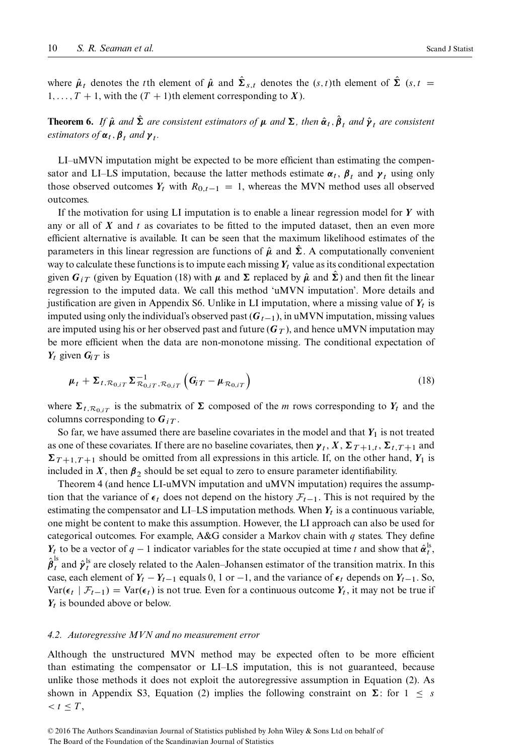where  $\hat{\mu}_t$  denotes the tth element of  $\hat{\mu}$  and  $\hat{\Sigma}_{s,t}$  denotes the  $(s,t)$ th element of  $\hat{\Sigma}$   $(s,t)$  $1, \ldots, T + 1$ , with the  $(T + 1)$ th element corresponding to X).

**Theorem 6.** If  $\hat{\mu}$  and  $\hat{\Sigma}$  are consistent estimators of  $\mu$  and  $\Sigma$ , then  $\hat{\alpha}_t$ ,  $\hat{\beta}_t$  and  $\hat{\gamma}_t$  are consistent *estimators of*  $\alpha_t$ ,  $\beta_t$  *and*  $\gamma_t$ *.* 

LI–uMVN imputation might be expected to be more efficient than estimating the compensator and LI–LS imputation, because the latter methods estimate  $\alpha_t$ ,  $\beta_t$  and  $\gamma_t$  using only those observed outcomes  $Y_t$  with  $R_{0,t-1} = 1$ , whereas the MVN method uses all observed outcomes.

If the motivation for using LI imputation is to enable a linear regression model for  $Y$  with any or all of  $X$  and  $t$  as covariates to be fitted to the imputed dataset, then an even more efficient alternative is available. It can be seen that the maximum likelihood estimates of the parameters in this linear regression are functions of  $\hat{\mu}$  and  $\hat{\Sigma}$ . A computationally convenient way to calculate these functions is to impute each missing  $Y_t$  value as its conditional expectation given  $G_{iT}$  (given by Equation [\(18\)](#page-9-1) with  $\mu$  and  $\Sigma$  replaced by  $\hat{\mu}$  and  $\hat{\Sigma}$ ) and then fit the linear regression to the imputed data. We call this method 'uMVN imputation'. More details and justification are given in Appendix S6. Unlike in LI imputation, where a missing value of  $Y_t$  is imputed using only the individual's observed past  $(G_{t-1})$ , in uMVN imputation, missing values are imputed using his or her observed past and future  $(G_T)$ , and hence uMVN imputation may be more efficient when the data are non-monotone missing. The conditional expectation of  $Y_t$  given  $G_i$  r is

<span id="page-9-1"></span>
$$
\boldsymbol{\mu}_t + \boldsymbol{\Sigma}_{t, \mathcal{R}_{0, iT}} \boldsymbol{\Sigma}_{\mathcal{R}_{0, iT}, \mathcal{R}_{0, iT}}^{-1} \left( \boldsymbol{G}_{i} - \boldsymbol{\mu}_{\mathcal{R}_{0, iT}} \right) \tag{18}
$$

where  $\Sigma_{t, \mathcal{R}_{0,iT}}$  is the submatrix of  $\Sigma$  composed of the *m* rows corresponding to  $Y_t$  and the columns corresponding to  $G_{iT}$ .

So far, we have assumed there are baseline covariates in the model and that  $Y_1$  is not treated as one of these covariates. If there are no baseline covariates, then  $\gamma_t$ ,  $X$ ,  $\Sigma_{T+1,t}$ ,  $\Sigma_{t,T+1}$  and  $\Sigma_{T+1,T+1}$  should be omitted from all expressions in this article. If, on the other hand, Y<sub>1</sub> is included in X, then  $\beta_2$  should be set equal to zero to ensure parameter identifiability.

Theorem [4](#page-8-0) (and hence LI-uMVN imputation and uMVN imputation) requires the assumption that the variance of  $\epsilon_t$  does not depend on the history  $\mathcal{F}_{t-1}$ . This is not required by the estimating the compensator and LI–LS imputation methods. When  $Y_t$  is a continuous variable, one might be content to make this assumption. However, the LI approach can also be used for categorical outcomes. For example, A&G consider a Markov chain with  $q$  states. They define  $Y_t$  to be a vector of  $q-1$  indicator variables for the state occupied at time t and show that  $\hat{\alpha}_t^{\text{ls}}$ ,  $\hat{\beta}_t^{\text{ls}}$  and  $\hat{\gamma}_t^{\text{ls}}$  are closely related to the Aalen–Johansen estimator of the transition matrix. In this case, each element of  $Y_t - Y_{t-1}$  equals 0, 1 or -1, and the variance of  $\epsilon_t$  depends on  $Y_{t-1}$ . So,  $Var(\epsilon_t | \mathcal{F}_{t-1}) = Var(\epsilon_t)$  is not true. Even for a continuous outcome  $Y_t$ , it may not be true if  $Y_t$  is bounded above or below.

#### <span id="page-9-0"></span>*4.2. Autoregressive MVN and no measurement error*

<span id="page-9-2"></span>Although the unstructured MVN method may be expected often to be more efficient than estimating the compensator or LI–LS imputation, this is not guaranteed, because unlike those methods it does not exploit the autoregressive assumption in Equation [\(2\)](#page-2-2). As shown in Appendix S3, Equation [\(2\)](#page-2-2) implies the following constraint on  $\Sigma$ : for  $1 \leq s$  $< t < T$ ,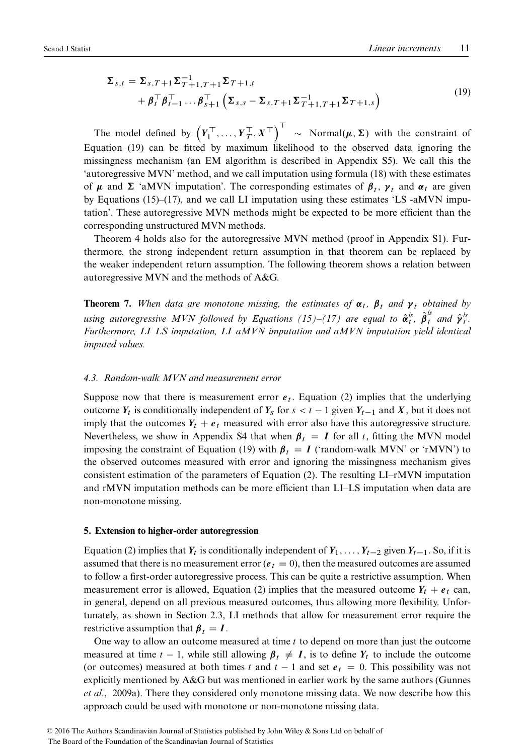$$
\Sigma_{s,t} = \Sigma_{s,T+1} \Sigma_{T+1,T+1}^{-1} \Sigma_{T+1,t} + \beta_t^\top \beta_{t-1}^\top \dots \beta_{s+1}^\top \left( \Sigma_{s,s} - \Sigma_{s,T+1} \Sigma_{T+1,T+1}^{-1} \Sigma_{T+1,s} \right)
$$
\n(19)

The model defined by  $(Y_1^\top, \ldots, Y_T^\top, X^\top)^{\top} \sim \text{Normal}(\mu, \Sigma)$  with the constraint of Equation [\(19\)](#page-9-2) can be fitted by maximum likelihood to the observed data ignoring the missingness mechanism (an EM algorithm is described in Appendix S5). We call this the 'autoregressive MVN' method, and we call imputation using formula [\(18\)](#page-9-1) with these estimates of  $\mu$  and  $\Sigma$  'aMVN imputation'. The corresponding estimates of  $\beta_t$ ,  $\gamma_t$  and  $\alpha_t$  are given by Equations [\(15\)](#page-8-3)–[\(17\)](#page-8-4), and we call LI imputation using these estimates 'LS -aMVN imputation'. These autoregressive MVN methods might be expected to be more efficient than the corresponding unstructured MVN methods.

Theorem [4](#page-8-0) holds also for the autoregressive MVN method (proof in Appendix S1). Furthermore, the strong independent return assumption in that theorem can be replaced by the weaker independent return assumption. The following theorem shows a relation between autoregressive MVN and the methods of A&G.

**Theorem 7.** When data are monotone missing, the estimates of  $\alpha_t$ ,  $\beta_t$  and  $\gamma_t$  obtained by *using autoregressive MVN followed by Equations [\(15\)](#page-8-3)–[\(17\)](#page-8-4) are equal to*  $\hat{\alpha}_t^{ls}$ *,*  $\hat{\beta}_t^{ls}$  *and*  $\hat{\gamma}_t^{ls}$ *. Furthermore, LI–LS imputation, LI–aMVN imputation and aMVN imputation yield identical imputed values.*

#### <span id="page-10-1"></span>*4.3. Random-walk MVN and measurement error*

Suppose now that there is measurement error  $e_t$ . Equation [\(2\)](#page-2-2) implies that the underlying outcome  $Y_t$  is conditionally independent of  $Y_s$  for  $s < t - 1$  given  $Y_{t-1}$  and X, but it does not imply that the outcomes  $Y_t + e_t$  measured with error also have this autoregressive structure. Nevertheless, we show in Appendix S4 that when  $\beta_t = I$  for all t, fitting the MVN model imposing the constraint of Equation [\(19\)](#page-9-2) with  $\beta_t = I$  ('random-walk MVN' or 'rMVN') to the observed outcomes measured with error and ignoring the missingness mechanism gives consistent estimation of the parameters of Equation [\(2\)](#page-2-2). The resulting LI–rMVN imputation and rMVN imputation methods can be more efficient than LI–LS imputation when data are non-monotone missing.

#### <span id="page-10-0"></span>**5. Extension to higher-order autoregression**

Equation [\(2\)](#page-2-2) implies that  $Y_t$  is conditionally independent of  $Y_1, \ldots, Y_{t-2}$  given  $Y_{t-1}$ . So, if it is assumed that there is no measurement error ( $e_t = 0$ ), then the measured outcomes are assumed to follow a first-order autoregressive process. This can be quite a restrictive assumption. When measurement error is allowed, Equation [\(2\)](#page-2-2) implies that the measured outcome  $Y_t + e_t$  can, in general, depend on all previous measured outcomes, thus allowing more flexibility. Unfortunately, as shown in Section [2.3,](#page-3-4) LI methods that allow for measurement error require the restrictive assumption that  $\beta_t = I$ .

One way to allow an outcome measured at time  $t$  to depend on more than just the outcome measured at time  $t - 1$ , while still allowing  $\beta_t \neq I$ , is to define  $Y_t$  to include the outcome (or outcomes) measured at both times t and  $t - 1$  and set  $e_t = 0$ . This possibility was not explicitly mentioned by A&G but was mentioned in earlier work by the same authors (Gunnes *et al.*, 2009a). There they considered only monotone missing data. We now describe how this approach could be used with monotone or non-monotone missing data.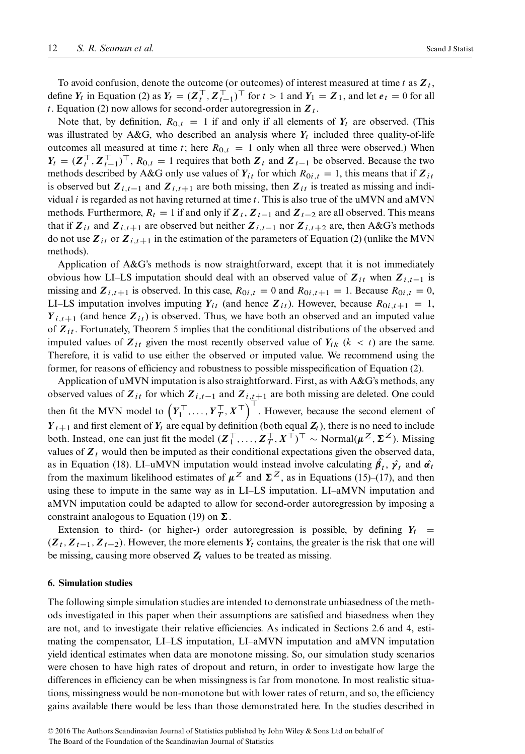To avoid confusion, denote the outcome (or outcomes) of interest measured at time t as  $Z_t$ , define  $Y_t$  in Equation [\(2\)](#page-2-2) as  $Y_t = (Z_t^+, Z_{t-1}^+)^\top$  for  $t > 1$  and  $Y_1 = Z_1$ , and let  $e_t = 0$  for all t. Equation [\(2\)](#page-2-2) now allows for second-order autoregression in  $Z_t$ .

Note that, by definition,  $R_{0,t} = 1$  if and only if all elements of  $Y_t$  are observed. (This was illustrated by A&G, who described an analysis where  $Y_t$  included three quality-of-life outcomes all measured at time t; here  $R_{0,t} = 1$  only when all three were observed.) When  $Y_t = (Z_t^\top, Z_{t-1}^\top)^\top, R_{0,t} = 1$  requires that both  $Z_t$  and  $Z_{t-1}$  be observed. Because the two methods described by A&G only use values of  $Y_{it}$  for which  $R_{0i,t} = 1$ , this means that if  $Z_{it}$ is observed but  $Z_{i,t-1}$  and  $Z_{i,t+1}$  are both missing, then  $Z_{it}$  is treated as missing and individual *i* is regarded as not having returned at time  $t$ . This is also true of the uMVN and aMVN methods. Furthermore,  $R_t = 1$  if and only if  $Z_t$ ,  $Z_{t-1}$  and  $Z_{t-2}$  are all observed. This means that if  $Z_{it}$  and  $Z_{i,t+1}$  are observed but neither  $Z_{i,t-1}$  nor  $Z_{i,t+2}$  are, then A&G's methods do not use  $Z_{it}$  or  $Z_{i,t+1}$  in the estimation of the parameters of Equation [\(2\)](#page-2-2) (unlike the MVN methods).

Application of A&G's methods is now straightforward, except that it is not immediately obvious how LI–LS imputation should deal with an observed value of  $Z_{it}$  when  $Z_{i,t-1}$  is missing and  $\mathbf{Z}_{i,t+1}$  is observed. In this case,  $R_{0i,t} = 0$  and  $R_{0i,t+1} = 1$ . Because  $R_{0i,t} = 0$ , LI–LS imputation involves imputing  $Y_{it}$  (and hence  $Z_{it}$ ). However, because  $R_{0i,t+1} = 1$ ,  $Y_{i,t+1}$  (and hence  $Z_{it}$ ) is observed. Thus, we have both an observed and an imputed value of  $Z_{it}$ . Fortunately, Theorem [5](#page-8-5) implies that the conditional distributions of the observed and imputed values of  $Z_{it}$  given the most recently observed value of  $Y_{ik}$  ( $k < t$ ) are the same. Therefore, it is valid to use either the observed or imputed value. We recommend using the former, for reasons of efficiency and robustness to possible misspecification of Equation [\(2\)](#page-2-2).

Application of uMVN imputation is also straightforward. First, as with A&G's methods, any observed values of  $Z_{it}$  for which  $Z_{i,t-1}$  and  $Z_{i,t+1}$  are both missing are deleted. One could then fit the MVN model to  $(Y_1^\top, \ldots, Y_T^\top, X^\top)^\top$ . However, because the second element of  $Y_{t+1}$  and first element of  $Y_t$  are equal by definition (both equal  $Z_t$ ), there is no need to include both. Instead, one can just fit the model  $(Z_1^\top, \ldots, Z_T^\top, X^\top)^\top \sim \text{Normal}(\mu^Z, \Sigma^Z)$ . Missing values of  $Z_t$  would then be imputed as their conditional expectations given the observed data, as in Equation [\(18\)](#page-9-1). LI–uMVN imputation would instead involve calculating  $\beta_t$ ,  $\hat{\gamma}_t$  and  $\hat{\alpha}_t$ from the maximum likelihood estimates of  $\mu^Z$  and  $\Sigma^Z$ , as in Equations [\(15\)](#page-8-3)–[\(17\)](#page-8-4), and then using these to impute in the same way as in LI–LS imputation. LI–aMVN imputation and aMVN imputation could be adapted to allow for second-order autoregression by imposing a constraint analogous to Equation [\(19\)](#page-9-2) on  $\Sigma$ .

Extension to third- (or higher-) order autoregression is possible, by defining  $Y_t$  =  $(Z_t, Z_{t-1}, Z_{t-2})$ . However, the more elements  $Y_t$  contains, the greater is the risk that one will be missing, causing more observed  $Z_t$  values to be treated as missing.

# <span id="page-11-0"></span>**6. Simulation studies**

The following simple simulation studies are intended to demonstrate unbiasedness of the methods investigated in this paper when their assumptions are satisfied and biasedness when they are not, and to investigate their relative efficiencies. As indicated in Sections [2.6](#page-5-4) and [4,](#page-7-0) estimating the compensator, LI–LS imputation, LI–aMVN imputation and aMVN imputation yield identical estimates when data are monotone missing. So, our simulation study scenarios were chosen to have high rates of dropout and return, in order to investigate how large the differences in efficiency can be when missingness is far from monotone. In most realistic situations, missingness would be non-monotone but with lower rates of return, and so, the efficiency gains available there would be less than those demonstrated here. In the studies described in

<sup>© 2016</sup> The Authors Scandinavian Journal of Statistics published by John Wiley & Sons Ltd on behalf of The Board of the Foundation of the Scandinavian Journal of Statistics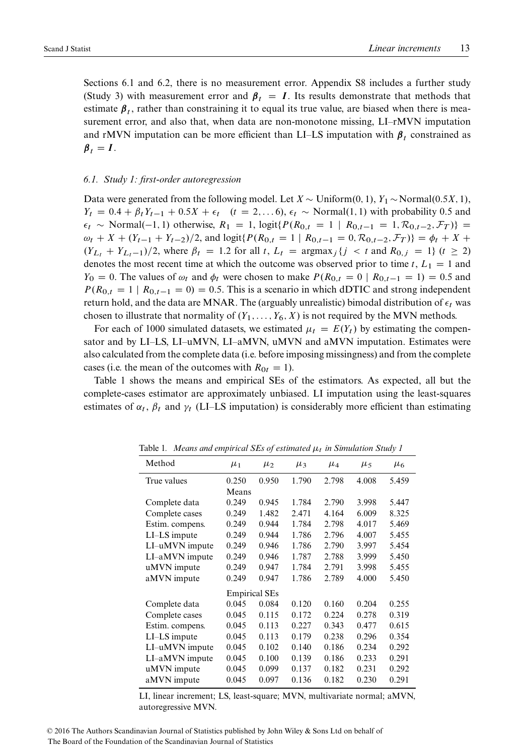Sections [6.1](#page-12-0) and [6.2,](#page-13-0) there is no measurement error. Appendix S8 includes a further study (Study 3) with measurement error and  $\beta_t = I$ . Its results demonstrate that methods that estimate  $\beta_t$ , rather than constraining it to equal its true value, are biased when there is measurement error, and also that, when data are non-monotone missing, LI–rMVN imputation and rMVN imputation can be more efficient than LI–LS imputation with  $\beta_t$  constrained as  $\beta_t = I$ .

# <span id="page-12-0"></span>*6.1. Study 1: first-order autoregression*

Data were generated from the following model. Let  $X \sim \text{Uniform}(0, 1), Y_1 \sim \text{Normal}(0.5X, 1),$  $Y_t = 0.4 + \beta_t Y_{t-1} + 0.5X + \epsilon_t$   $(t = 2,... 6), \epsilon_t \sim \text{Normal}(1, 1)$  with probability 0.5 and  $\epsilon_t \sim \text{Normal}(-1, 1)$  otherwise,  $R_1 = 1$ ,  $\text{logit} \{ P(R_{0,t} = 1 \mid R_{0,t-1} = 1, \mathcal{R}_{0,t-2}, \mathcal{F}_T) \}$  $\omega_t + X + (Y_{t-1} + Y_{t-2})/2$ , and  $\log \text{if} \{ P(R_{0,t} = 1 \mid R_{0,t-1} = 0, \mathcal{R}_{0,t-2}, \mathcal{F}_T) \} = \phi_t + X +$  $(Y_{L_t} + Y_{L_t-1})/2$ , where  $\beta_t = 1.2$  for all t,  $L_t = \text{argmax}_j \{j \le t \text{ and } R_{0,j} = 1\}$   $(t \ge 2)$ denotes the most recent time at which the outcome was observed prior to time t,  $L_1 = 1$  and  $Y_0 = 0$ . The values of  $\omega_t$  and  $\phi_t$  were chosen to make  $P(R_{0,t} = 0 | R_{0,t-1} = 1) = 0.5$  and  $P(R_{0,t} = 1 | R_{0,t-1} = 0) = 0.5$ . This is a scenario in which dDTIC and strong independent return hold, and the data are MNAR. The (arguably unrealistic) bimodal distribution of  $\epsilon_t$  was chosen to illustrate that normality of  $(Y_1, \ldots, Y_6, X)$  is not required by the MVN methods.

For each of 1000 simulated datasets, we estimated  $\mu_t = E(Y_t)$  by estimating the compensator and by LI–LS, LI–uMVN, LI–aMVN, uMVN and aMVN imputation. Estimates were also calculated from the complete data (i.e. before imposing missingness) and from the complete cases (i.e. the mean of the outcomes with  $R_{0t} = 1$ ).

Table [1](#page-12-1) shows the means and empirical SEs of the estimators. As expected, all but the complete-cases estimator are approximately unbiased. LI imputation using the least-squares estimates of  $\alpha_t$ ,  $\beta_t$  and  $\gamma_t$  (LI–LS imputation) is considerably more efficient than estimating

<span id="page-12-1"></span>

| Method          | $\mu_1$              | $\mu_2$ | $\mu_3$ | $\mu_4$ | $\mu_5$ | $\mu_6$ |
|-----------------|----------------------|---------|---------|---------|---------|---------|
| True values     | 0.250                | 0.950   | 1.790   | 2.798   | 4.008   | 5.459   |
|                 | Means                |         |         |         |         |         |
| Complete data   | 0.249                | 0.945   | 1.784   | 2.790   | 3.998   | 5.447   |
| Complete cases  | 0.249                | 1.482   | 2.471   | 4.164   | 6.009   | 8.325   |
| Estim. compens. | 0.249                | 0.944   | 1.784   | 2.798   | 4.017   | 5.469   |
| LI-LS impute    | 0.249                | 0.944   | 1.786   | 2.796   | 4.007   | 5.455   |
| LI-uMVN impute  | 0.249                | 0.946   | 1.786   | 2.790   | 3.997   | 5.454   |
| LI-aMVN impute  | 0.249                | 0.946   | 1.787   | 2.788   | 3.999   | 5.450   |
| uMVN impute     | 0.249                | 0.947   | 1.784   | 2.791   | 3.998   | 5.455   |
| aMVN impute     | 0.249                | 0.947   | 1.786   | 2.789   | 4.000   | 5.450   |
|                 | <b>Empirical SEs</b> |         |         |         |         |         |
| Complete data   | 0.045                | 0.084   | 0.120   | 0.160   | 0.204   | 0.255   |
| Complete cases  | 0.045                | 0.115   | 0.172   | 0.224   | 0.278   | 0.319   |
| Estim. compens. | 0.045                | 0.113   | 0.227   | 0.343   | 0.477   | 0.615   |
| LI-LS impute    | 0.045                | 0.113   | 0.179   | 0.238   | 0.296   | 0.354   |
| LI-uMVN impute  | 0.045                | 0.102   | 0.140   | 0.186   | 0.234   | 0.292   |
| LI-aMVN impute  | 0.045                | 0.100   | 0.139   | 0.186   | 0.233   | 0.291   |
| uMVN impute     | 0.045                | 0.099   | 0.137   | 0.182   | 0.231   | 0.292   |
| aMVN impute     | 0.045                | 0.097   | 0.136   | 0.182   | 0.230   | 0.291   |
|                 |                      |         |         |         |         |         |

Table 1. Means and empirical SEs of estimated  $\mu_t$  in Simulation Study 1

LI, linear increment; LS, least-square; MVN, multivariate normal; aMVN, autoregressive MVN.

<sup>© 2016</sup> The Authors Scandinavian Journal of Statistics published by John Wiley & Sons Ltd on behalf of The Board of the Foundation of the Scandinavian Journal of Statistics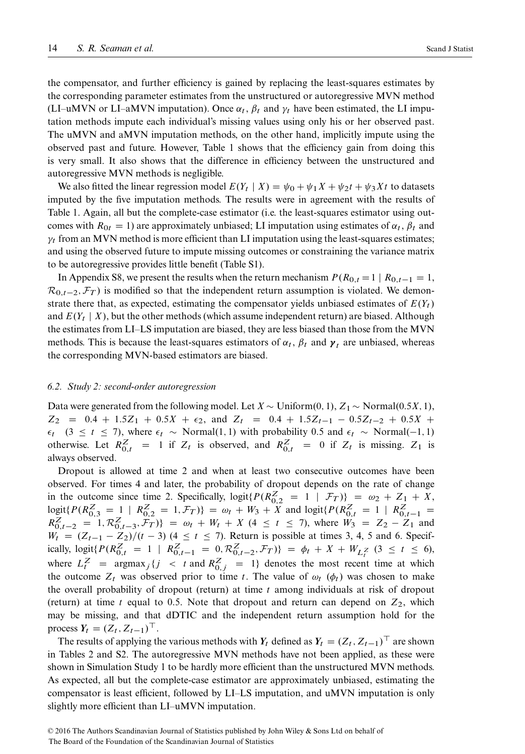the compensator, and further efficiency is gained by replacing the least-squares estimates by the corresponding parameter estimates from the unstructured or autoregressive MVN method (LI–uMVN or LI–aMVN imputation). Once  $\alpha_t$ ,  $\beta_t$  and  $\gamma_t$  have been estimated, the LI imputation methods impute each individual's missing values using only his or her observed past. The uMVN and aMVN imputation methods, on the other hand, implicitly impute using the observed past and future. However, Table [1](#page-12-1) shows that the efficiency gain from doing this is very small. It also shows that the difference in efficiency between the unstructured and autoregressive MVN methods is negligible.

We also fitted the linear regression model  $E(Y_t | X) = \psi_0 + \psi_1 X + \psi_2 t + \psi_3 Xt$  to datasets imputed by the five imputation methods. The results were in agreement with the results of Table [1.](#page-12-1) Again, all but the complete-case estimator (i.e. the least-squares estimator using outcomes with  $R_{0t} = 1$ ) are approximately unbiased; LI imputation using estimates of  $\alpha_t$ ,  $\beta_t$  and  $\gamma_t$  from an MVN method is more efficient than LI imputation using the least-squares estimates; and using the observed future to impute missing outcomes or constraining the variance matrix to be autoregressive provides little benefit (Table S1).

In Appendix S8, we present the results when the return mechanism  $P(R_{0,t} = 1 | R_{0,t-1} = 1,$  $\mathcal{R}_{0,t-2}, \mathcal{F}_T$  is modified so that the independent return assumption is violated. We demonstrate there that, as expected, estimating the compensator yields unbiased estimates of  $E(Y_t)$ and  $E(Y_t | X)$ , but the other methods (which assume independent return) are biased. Although the estimates from LI–LS imputation are biased, they are less biased than those from the MVN methods. This is because the least-squares estimators of  $\alpha_t$ ,  $\beta_t$  and  $\gamma_t$  are unbiased, whereas the corresponding MVN-based estimators are biased.

#### <span id="page-13-0"></span>*6.2. Study 2: second-order autoregression*

Data were generated from the following model. Let  $X \sim \text{Uniform}(0, 1), Z_1 \sim \text{Normal}(0.5X, 1),$  $Z_2 = 0.4 + 1.5Z_1 + 0.5X + \epsilon_2$ , and  $Z_t = 0.4 + 1.5Z_{t-1} - 0.5Z_{t-2} + 0.5X +$  $\epsilon_t$  (3  $\leq$  t  $\leq$  7), where  $\epsilon_t \sim \text{Normal}(1, 1)$  with probability 0.5 and  $\epsilon_t \sim \text{Normal}(-1, 1)$ otherwise. Let  $R_{0,t}^Z = 1$  if  $Z_t$  is observed, and  $R_{0,t}^Z = 0$  if  $Z_t$  is missing.  $Z_1$  is always observed.

Dropout is allowed at time 2 and when at least two consecutive outcomes have been observed. For times 4 and later, the probability of dropout depends on the rate of change in the outcome since time 2. Specifically,  $logit\{P(R_{0,2}^Z = 1 | \mathcal{F}_T)\} = \omega_2 + Z_1 + X$ ,  $\begin{aligned} \text{logit}\{P(R_{0,3}^Z = 1 \mid R_{0,2}^Z = 1, \mathcal{F}_T)\} &= \omega_t + W_3 + X \text{ and } \text{logit}\{P(R_{0,t}^Z = 1 \mid R_{0,t-1}^Z = R_{0,t-2}^Z = 1, \mathcal{R}_{0,t-3}^Z, \mathcal{F}_T)\} &= \omega_t + W_t + X \ (4 \leq t \leq 7), \text{ where } W_3 = Z_2 - Z_1 \text{ and } \end{aligned}$  $W_t = (Z_{t-1} - Z_2)/(t - 3)$  (4  $\le t \le 7$ ). Return is possible at times 3, 4, 5 and 6. Specifically,  $\logit\{P(R_{0,t}^Z = 1 \mid R_{0,t-1}^Z = 0, R_{0,t-2}^Z, \mathcal{F}_T)\} = \phi_t + X + W_{L_t^Z}$  (3  $\leq t \leq 6$ ), where  $L_t^Z = \text{argmax}_j \{j \le t \text{ and } R_{0,j}^Z = 1\}$  denotes the most recent time at which the outcome  $Z_t$  was observed prior to time t. The value of  $\omega_t$  ( $\phi_t$ ) was chosen to make the overall probability of dropout (return) at time  $t$  among individuals at risk of dropout (return) at time t equal to 0.5. Note that dropout and return can depend on  $Z_2$ , which may be missing, and that dDTIC and the independent return assumption hold for the process  $Y_t = (Z_t, Z_{t-1})^\top$ .

The results of applying the various methods with  $Y_t$  defined as  $Y_t = (Z_t, Z_{t-1})^\top$  are shown in Tables [2](#page-14-1) and S2. The autoregressive MVN methods have not been applied, as these were shown in Simulation Study 1 to be hardly more efficient than the unstructured MVN methods. As expected, all but the complete-case estimator are approximately unbiased, estimating the compensator is least efficient, followed by LI–LS imputation, and uMVN imputation is only slightly more efficient than LI–uMVN imputation.

<sup>© 2016</sup> The Authors Scandinavian Journal of Statistics published by John Wiley & Sons Ltd on behalf of The Board of the Foundation of the Scandinavian Journal of Statistics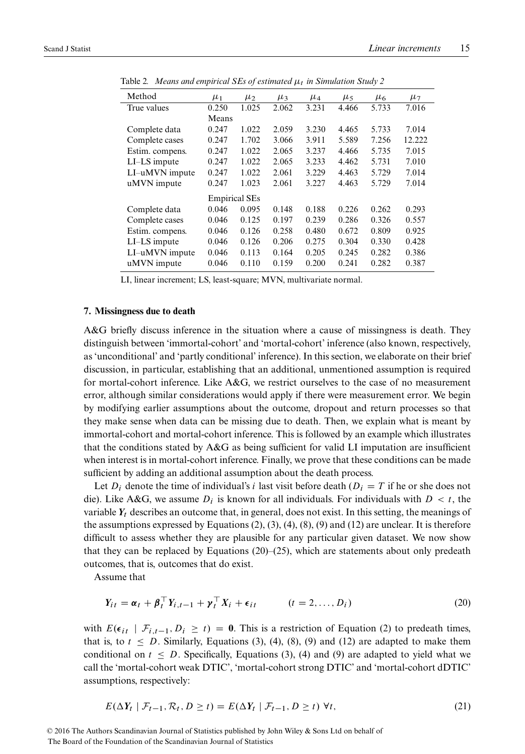<span id="page-14-1"></span>

| $\ldots$           |                      |         |         |         |         |         |         |
|--------------------|----------------------|---------|---------|---------|---------|---------|---------|
| Method             | $\mu_1$              | $\mu_2$ | $\mu_3$ | $\mu_4$ | $\mu_5$ | $\mu_6$ | $\mu_7$ |
| True values        | 0.250                | 1.025   | 2.062   | 3.231   | 4.466   | 5.733   | 7.016   |
|                    | Means                |         |         |         |         |         |         |
| Complete data      | 0.247                | 1.022   | 2.059   | 3.230   | 4.465   | 5.733   | 7.014   |
| Complete cases     | 0.247                | 1.702   | 3.066   | 3.911   | 5.589   | 7.256   | 12.222  |
| Estim. compens.    | 0.247                | 1.022   | 2.065   | 3.237   | 4.466   | 5.735   | 7.015   |
| LI-LS impute       | 0.247                | 1.022   | 2.065   | 3.233   | 4.462   | 5.731   | 7.010   |
| LI-uMVN impute     | 0.247                | 1.022   | 2.061   | 3.229   | 4.463   | 5.729   | 7.014   |
| uMVN impute        | 0.247                | 1.023   | 2.061   | 3.227   | 4.463   | 5.729   | 7.014   |
|                    | <b>Empirical SEs</b> |         |         |         |         |         |         |
| Complete data      | 0.046                | 0.095   | 0.148   | 0.188   | 0.226   | 0.262   | 0.293   |
| Complete cases     | 0.046                | 0.125   | 0.197   | 0.239   | 0.286   | 0.326   | 0.557   |
| Estim. compens.    | 0.046                | 0.126   | 0.258   | 0.480   | 0.672   | 0.809   | 0.925   |
| $LI$ - $LS$ impute | 0.046                | 0.126   | 0.206   | 0.275   | 0.304   | 0.330   | 0.428   |
| LI-uMVN impute     | 0.046                | 0.113   | 0.164   | 0.205   | 0.245   | 0.282   | 0.386   |
| uMVN impute        | 0.046                | 0.110   | 0.159   | 0.200   | 0.241   | 0.282   | 0.387   |
|                    |                      |         |         |         |         |         |         |

Table 2*. Means and empirical SEs of estimated* 11. *in Simulation Study 2* 

LI, linear increment; LS, least-square; MVN, multivariate normal.

# <span id="page-14-0"></span>**7. Missingness due to death**

A&G briefly discuss inference in the situation where a cause of missingness is death. They distinguish between 'immortal-cohort' and 'mortal-cohort' inference (also known, respectively, as 'unconditional' and 'partly conditional' inference). In this section, we elaborate on their brief discussion, in particular, establishing that an additional, unmentioned assumption is required for mortal-cohort inference. Like A&G, we restrict ourselves to the case of no measurement error, although similar considerations would apply if there were measurement error. We begin by modifying earlier assumptions about the outcome, dropout and return processes so that they make sense when data can be missing due to death. Then, we explain what is meant by immortal-cohort and mortal-cohort inference. This is followed by an example which illustrates that the conditions stated by A&G as being sufficient for valid LI imputation are insufficient when interest is in mortal-cohort inference. Finally, we prove that these conditions can be made sufficient by adding an additional assumption about the death process.

Let  $D_i$  denote the time of individual's i last visit before death  $(D_i = T$  if he or she does not die). Like A&G, we assume  $D_i$  is known for all individuals. For individuals with  $D < t$ , the variable  $Y_t$  describes an outcome that, in general, does not exist. In this setting, the meanings of the assumptions expressed by Equations  $(2)$ ,  $(3)$ ,  $(4)$ ,  $(8)$ ,  $(9)$  and  $(12)$  are unclear. It is therefore difficult to assess whether they are plausible for any particular given dataset. We now show that they can be replaced by Equations  $(20)$ – $(25)$ , which are statements about only predeath outcomes, that is, outcomes that do exist.

Assume that

<span id="page-14-2"></span>
$$
Y_{it} = \alpha_t + \beta_t^{\top} Y_{i,t-1} + \gamma_t^{\top} X_i + \epsilon_{it} \qquad (t = 2, \dots, D_i)
$$
 (20)

with  $E(\epsilon_{it} | \mathcal{F}_{i,t-1}, D_i \geq t) = 0$ . This is a restriction of Equation [\(2\)](#page-2-2) to predeath times, that is, to  $t \leq D$ . Similarly, Equations [\(3\)](#page-2-3), [\(4\)](#page-3-0), [\(8\)](#page-5-1), [\(9\)](#page-5-2) and [\(12\)](#page-7-2) are adapted to make them conditional on  $t \leq D$ . Specifically, Equations [\(3\)](#page-2-3), [\(4\)](#page-3-0) and [\(9\)](#page-5-2) are adapted to yield what we call the 'mortal-cohort weak DTIC', 'mortal-cohort strong DTIC' and 'mortal-cohort dDTIC' assumptions, respectively:

<span id="page-14-3"></span>
$$
E(\Delta Y_t \mid \mathcal{F}_{t-1}, \mathcal{R}_t, D \ge t) = E(\Delta Y_t \mid \mathcal{F}_{t-1}, D \ge t) \,\,\forall t,\tag{21}
$$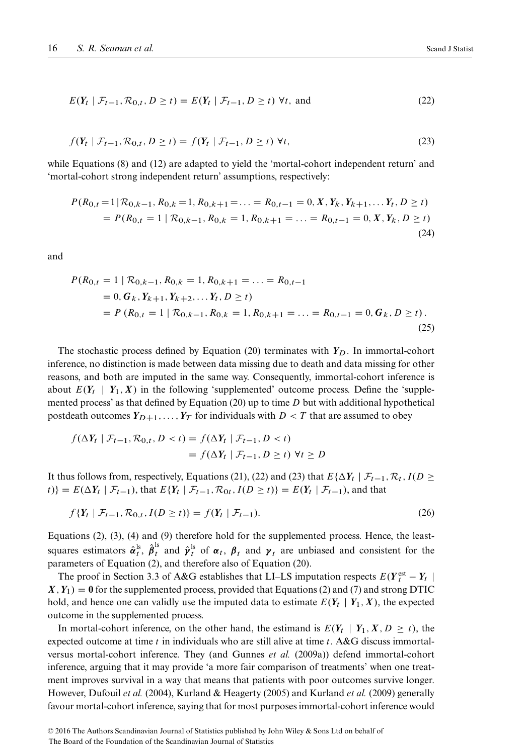<span id="page-15-2"></span><span id="page-15-1"></span>
$$
E(Y_t \mid \mathcal{F}_{t-1}, \mathcal{R}_{0,t}, D \ge t) = E(Y_t \mid \mathcal{F}_{t-1}, D \ge t) \,\,\forall t, \text{ and} \tag{22}
$$

$$
f(Y_t \mid \mathcal{F}_{t-1}, \mathcal{R}_{0,t}, D \ge t) = f(Y_t \mid \mathcal{F}_{t-1}, D \ge t) \ \forall t,
$$
\n
$$
(23)
$$

while Equations [\(8\)](#page-5-1) and [\(12\)](#page-7-2) are adapted to yield the 'mortal-cohort independent return' and 'mortal-cohort strong independent return' assumptions, respectively:

<span id="page-15-3"></span>
$$
P(R_{0,t} = 1 | R_{0,k-1}, R_{0,k} = 1, R_{0,k+1} = ... = R_{0,t-1} = 0, X, Y_k, Y_{k+1}, ... Y_t, D \ge t)
$$
  
=  $P(R_{0,t} = 1 | R_{0,k-1}, R_{0,k} = 1, R_{0,k+1} = ... = R_{0,t-1} = 0, X, Y_k, D \ge t)$  (24)

<span id="page-15-0"></span>and

$$
P(R_{0,t} = 1 | R_{0,k-1}, R_{0,k} = 1, R_{0,k+1} = ... = R_{0,t-1}
$$
  
= 0,  $G_k$ ,  $Y_{k+1}$ ,  $Y_{k+2}$ ,... $Y_t$ ,  $D \ge t$ )  
=  $P(R_{0,t} = 1 | R_{0,k-1}, R_{0,k} = 1, R_{0,k+1} = ... = R_{0,t-1} = 0, G_k, D \ge t)$ . (25)

The stochastic process defined by Equation [\(20\)](#page-14-2) terminates with  $Y_D$ . In immortal-cohort inference, no distinction is made between data missing due to death and data missing for other reasons, and both are imputed in the same way. Consequently, immortal-cohort inference is about  $E(Y_t | Y_1, X)$  in the following 'supplemented' outcome process. Define the 'supple-mented process' as that defined by Equation [\(20\)](#page-14-2) up to time  $D$  but with additional hypothetical postdeath outcomes  $Y_{D+1},..., Y_T$  for individuals with  $D < T$  that are assumed to obey

$$
f(\Delta Y_t \mid \mathcal{F}_{t-1}, \mathcal{R}_{0,t}, D < t) = f(\Delta Y_t \mid \mathcal{F}_{t-1}, D < t) \\
= f(\Delta Y_t \mid \mathcal{F}_{t-1}, D \ge t) \,\,\forall t \ge D
$$

It thus follows from, respectively, Equations [\(21\)](#page-14-3), [\(22\)](#page-15-1) and [\(23\)](#page-15-2) that  $E\{\Delta Y_t | \mathcal{F}_{t-1}, \mathcal{R}_t, I(D \geq t)\}$  $\{F(t)\} = E(\Delta Y_t | \mathcal{F}_{t-1})$ , that  $E\{Y_t | \mathcal{F}_{t-1}, \mathcal{R}_{0t}, I(D \geq t)\} = E(Y_t | \mathcal{F}_{t-1})$ , and that

$$
f\{Y_t \mid \mathcal{F}_{t-1}, \mathcal{R}_{0,t}, I(D \ge t)\} = f(Y_t \mid \mathcal{F}_{t-1}).
$$
\n(26)

Equations [\(2\)](#page-2-2), [\(3\)](#page-2-3), [\(4\)](#page-3-0) and [\(9\)](#page-5-2) therefore hold for the supplemented process. Hence, the leastsquares estimators  $\hat{\alpha}_t^{\rm ls}$ ,  $\hat{\beta}_t^{\rm ls}$  and  $\hat{\gamma}_t^{\rm ls}$  of  $\alpha_t$ ,  $\beta_t$  and  $\gamma_t$  are unbiased and consistent for the parameters of Equation [\(2\)](#page-2-2), and therefore also of Equation [\(20\)](#page-14-2).

The proof in Section 3.3 of A&G establishes that LI–LS imputation respects  $E(Y_t^{\text{est}} - Y_t | t)$  $X, Y_1$  = 0 for the supplemented process, provided that Equations [\(2\)](#page-2-2) and [\(7\)](#page-4-1) and strong DTIC hold, and hence one can validly use the imputed data to estimate  $E(Y_t | Y_1, X)$ , the expected outcome in the supplemented process.

In mortal-cohort inference, on the other hand, the estimand is  $E(Y_t | Y_1, X, D \ge t)$ , the expected outcome at time t in individuals who are still alive at time t. A&G discuss immortalversus mortal-cohort inference. They (and [Gunnes](#page-21-3) *et al.* (2009a)) defend immortal-cohort inference, arguing that it may provide 'a more fair comparison of treatments' when one treatment improves survival in a way that means that patients with poor outcomes survive longer. However, [Dufouil](#page-21-4) *et al.* (2004), [Kurland & Heagerty \(2005\)](#page-21-5) and [Kurland](#page-21-6) *et al.* (2009) generally favour mortal-cohort inference, saying that for most purposes immortal-cohort inference would

The Board of the Foundation of the Scandinavian Journal of Statistics

<sup>© 2016</sup> The Authors Scandinavian Journal of Statistics published by John Wiley & Sons Ltd on behalf of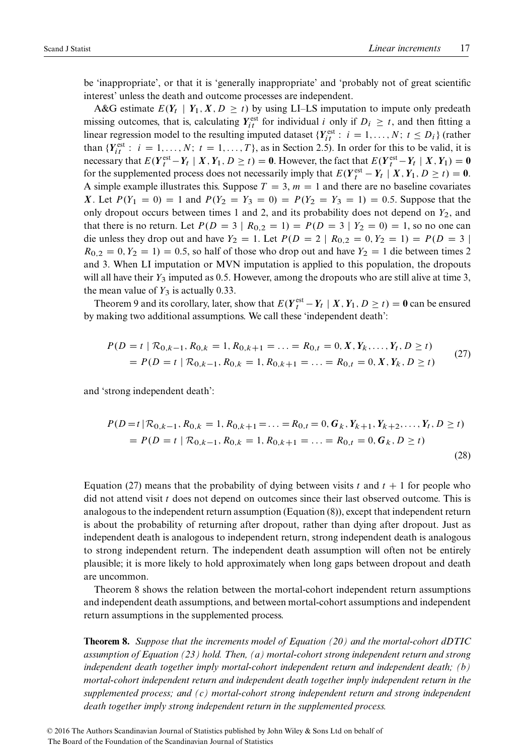be 'inappropriate', or that it is 'generally inappropriate' and 'probably not of great scientific interest' unless the death and outcome processes are independent.

A&G estimate  $E(Y_t | Y_1, X, D \ge t)$  by using LI–LS imputation to impute only predeath missing outcomes, that is, calculating  $Y_{it}^{\text{est}}$  for individual i only if  $D_i \geq t$ , and then fitting a linear regression model to the resulting imputed dataset  $\{Y_{it}^{\text{est}}: i = 1, ..., N; t \leq D_i\}$  (rather than  $\{Y_{it}^{\text{est}}: i = 1, ..., N; t = 1, ..., T\}$ , as in Section [2.5\)](#page-4-3). In order for this to be valid, it is necessary that  $E(Y_t^{\text{est}} - Y_t \mid X, Y_1, D \ge t) = 0$ . However, the fact that  $E(Y_t^{\text{est}} - Y_t \mid X, Y_1) = 0$ for the supplemented process does not necessarily imply that  $E(Y_t^{\text{est}} - Y_t | X, Y_1, D \ge t) = 0$ . A simple example illustrates this. Suppose  $T = 3$ ,  $m = 1$  and there are no baseline covariates X. Let  $P(Y_1 = 0) = 1$  and  $P(Y_2 = Y_3 = 0) = P(Y_2 = Y_3 = 1) = 0.5$ . Suppose that the only dropout occurs between times 1 and 2, and its probability does not depend on  $Y_2$ , and that there is no return. Let  $P(D = 3 | R_{0,2} = 1) = P(D = 3 | Y_2 = 0) = 1$ , so no one can die unless they drop out and have  $Y_2 = 1$ . Let  $P(D = 2 | R_{0,2} = 0, Y_2 = 1) = P(D = 3 |$  $R_{0,2} = 0, Y_2 = 1$  = 0.5, so half of those who drop out and have  $Y_2 = 1$  die between times 2 and 3. When LI imputation or MVN imputation is applied to this population, the dropouts will all have their  $Y_3$  imputed as 0.5. However, among the dropouts who are still alive at time 3, the mean value of  $Y_3$  is actually 0.33.

Theorem [9](#page-17-1) and its corollary, later, show that  $E(Y_t^{\text{est}} - Y_t | X, Y_1, D \ge t) = 0$  can be ensured by making two additional assumptions. We call these 'independent death':

<span id="page-16-0"></span>
$$
P(D = t | \mathcal{R}_{0,k-1}, R_{0,k} = 1, R_{0,k+1} = ... = R_{0,t} = 0, X, Y_k, ..., Y_t, D \ge t)
$$
  
=  $P(D = t | \mathcal{R}_{0,k-1}, R_{0,k} = 1, R_{0,k+1} = ... = R_{0,t} = 0, X, Y_k, D \ge t)$  (27)

and 'strong independent death':

<span id="page-16-2"></span>
$$
P(D = t | \mathcal{R}_{0,k-1}, R_{0,k} = 1, R_{0,k+1} = ... = R_{0,t} = 0, G_k, Y_{k+1}, Y_{k+2}, ..., Y_t, D \ge t)
$$
  
=  $P(D = t | \mathcal{R}_{0,k-1}, R_{0,k} = 1, R_{0,k+1} = ... = R_{0,t} = 0, G_k, D \ge t)$  (28)

Equation [\(27\)](#page-16-0) means that the probability of dying between visits t and  $t + 1$  for people who did not attend visit  $t$  does not depend on outcomes since their last observed outcome. This is analogous to the independent return assumption (Equation [\(8\)](#page-5-1)), except that independent return is about the probability of returning after dropout, rather than dying after dropout. Just as independent death is analogous to independent return, strong independent death is analogous to strong independent return. The independent death assumption will often not be entirely plausible; it is more likely to hold approximately when long gaps between dropout and death are uncommon.

Theorem [8](#page-16-1) shows the relation between the mortal-cohort independent return assumptions and independent death assumptions, and between mortal-cohort assumptions and independent return assumptions in the supplemented process.

<span id="page-16-1"></span>**Theorem 8.** *Suppose that the increments model of Equation [\(20\)](#page-14-2) and the mortal-cohort dDTIC assumption of Equation [\(23\)](#page-15-2) hold. Then, (a) mortal-cohort strong independent return and strong independent death together imply mortal-cohort independent return and independent death; (b) mortal-cohort independent return and independent death together imply independent return in the supplemented process; and (c) mortal-cohort strong independent return and strong independent death together imply strong independent return in the supplemented process.*

© 2016 The Authors Scandinavian Journal of Statistics published by John Wiley & Sons Ltd on behalf of The Board of the Foundation of the Scandinavian Journal of Statistics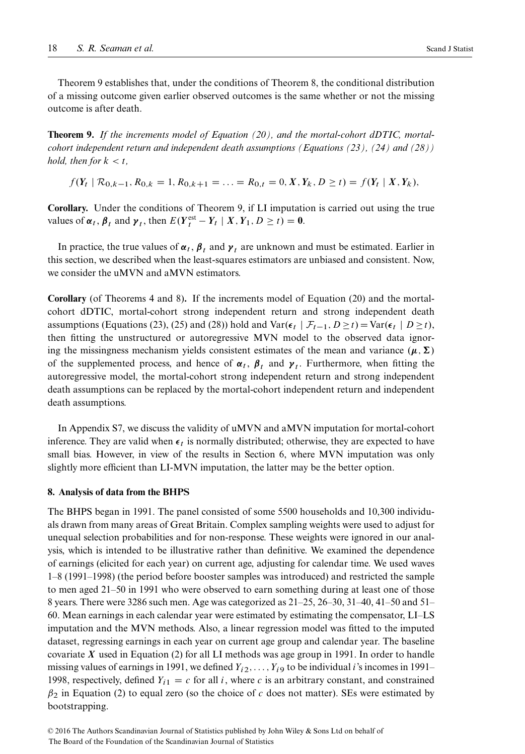Theorem [9](#page-17-1) establishes that, under the conditions of Theorem [8,](#page-16-1) the conditional distribution of a missing outcome given earlier observed outcomes is the same whether or not the missing outcome is after death.

<span id="page-17-1"></span>**Theorem 9.** *If the increments model of Equation [\(20\)](#page-14-2), and the mortal-cohort dDTIC, mortalcohort independent return and independent death assumptions (Equations [\(23\)](#page-15-2), [\(24\)](#page-15-3) and [\(28\)](#page-16-2)) hold, then for*  $k < t$ ,

 $f(Y_t \mid \mathcal{R}_{0,k-1}, R_{0,k} = 1, R_{0,k+1} = \ldots = R_{0,t} = 0, X, Y_k, D \ge t) = f(Y_t \mid X, Y_k),$ 

**Corollary.** Under the conditions of Theorem [9,](#page-17-1) if LI imputation is carried out using the true values of  $\alpha_t$ ,  $\beta_t$  and  $\gamma_t$ , then  $E(Y_t^{\text{est}} - Y_t | X, Y_1, D \ge t) = 0$ .

In practice, the true values of  $\alpha_t$ ,  $\beta_t$  and  $\gamma_t$  are unknown and must be estimated. Earlier in this section, we described when the least-squares estimators are unbiased and consistent. Now, we consider the uMVN and aMVN estimators.

**Corollary** (of Theorems [4](#page-8-0) and [8\)](#page-16-1)**.** If the increments model of Equation [\(20\)](#page-14-2) and the mortalcohort dDTIC, mortal-cohort strong independent return and strong independent death assumptions (Equations [\(23\)](#page-15-2), [\(25\)](#page-15-0) and [\(28\)](#page-16-2)) hold and Var( $\epsilon_t$  |  $\mathcal{F}_{t-1}$ ,  $D > t$ ) = Var( $\epsilon_t$  |  $D > t$ ), then fitting the unstructured or autoregressive MVN model to the observed data ignoring the missingness mechanism yields consistent estimates of the mean and variance  $(\boldsymbol{\mu}, \boldsymbol{\Sigma})$ of the supplemented process, and hence of  $\alpha_t$ ,  $\beta_t$  and  $\gamma_t$ . Furthermore, when fitting the autoregressive model, the mortal-cohort strong independent return and strong independent death assumptions can be replaced by the mortal-cohort independent return and independent death assumptions.

In Appendix S7, we discuss the validity of uMVN and aMVN imputation for mortal-cohort inference. They are valid when  $\epsilon_t$  is normally distributed; otherwise, they are expected to have small bias. However, in view of the results in Section [6,](#page-11-0) where MVN imputation was only slightly more efficient than LI-MVN imputation, the latter may be the better option.

# <span id="page-17-0"></span>**8. Analysis of data from the BHPS**

The BHPS began in 1991. The panel consisted of some 5500 households and 10,300 individuals drawn from many areas of Great Britain. Complex sampling weights were used to adjust for unequal selection probabilities and for non-response. These weights were ignored in our analysis, which is intended to be illustrative rather than definitive. We examined the dependence of earnings (elicited for each year) on current age, adjusting for calendar time. We used waves 1–8 (1991–1998) (the period before booster samples was introduced) and restricted the sample to men aged 21–50 in 1991 who were observed to earn something during at least one of those 8 years. There were 3286 such men. Age was categorized as 21–25, 26–30, 31–40, 41–50 and 51– 60. Mean earnings in each calendar year were estimated by estimating the compensator, LI–LS imputation and the MVN methods. Also, a linear regression model was fitted to the imputed dataset, regressing earnings in each year on current age group and calendar year. The baseline covariate  $X$  used in Equation [\(2\)](#page-2-2) for all LI methods was age group in 1991. In order to handle missing values of earnings in 1991, we defined  $Y_{i2},\ldots,Y_{i9}$  to be individual *i*'s incomes in 1991– 1998, respectively, defined  $Y_{i1} = c$  for all i, where c is an arbitrary constant, and constrained  $\beta_2$  in Equation (2) to equal zero (so the choice of c does not matter). SEs were estimated by bootstrapping.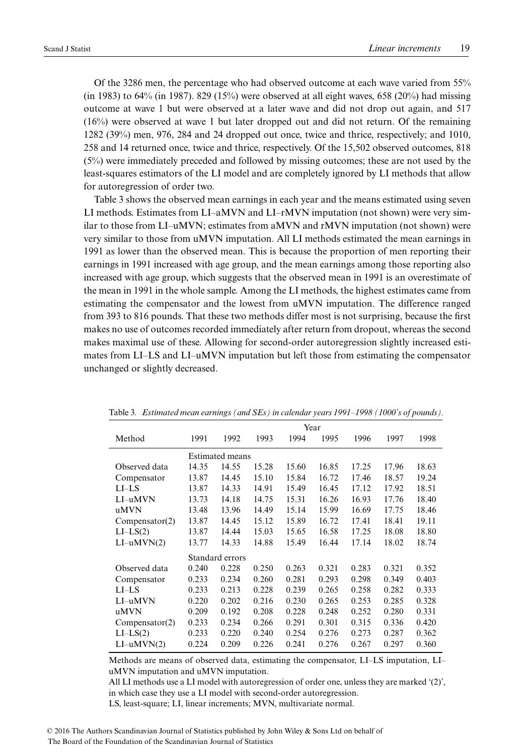Of the 3286 men, the percentage who had observed outcome at each wave varied from 55% (in 1983) to 64% (in 1987). 829 (15%) were observed at all eight waves, 658 (20%) had missing outcome at wave 1 but were observed at a later wave and did not drop out again, and 517 (16%) were observed at wave 1 but later dropped out and did not return. Of the remaining 1282 (39%) men, 976, 284 and 24 dropped out once, twice and thrice, respectively; and 1010, 258 and 14 returned once, twice and thrice, respectively. Of the 15,502 observed outcomes, 818 (5%) were immediately preceded and followed by missing outcomes; these are not used by the least-squares estimators of the LI model and are completely ignored by LI methods that allow for autoregression of order two.

Table [3](#page-18-0) shows the observed mean earnings in each year and the means estimated using seven LI methods. Estimates from LI–aMVN and LI–rMVN imputation (not shown) were very similar to those from LI–uMVN; estimates from aMVN and rMVN imputation (not shown) were very similar to those from uMVN imputation. All LI methods estimated the mean earnings in 1991 as lower than the observed mean. This is because the proportion of men reporting their earnings in 1991 increased with age group, and the mean earnings among those reporting also increased with age group, which suggests that the observed mean in 1991 is an overestimate of the mean in 1991 in the whole sample. Among the LI methods, the highest estimates came from estimating the compensator and the lowest from uMVN imputation. The difference ranged from 393 to 816 pounds. That these two methods differ most is not surprising, because the first makes no use of outcomes recorded immediately after return from dropout, whereas the second makes maximal use of these. Allowing for second-order autoregression slightly increased estimates from LI–LS and LI–uMVN imputation but left those from estimating the compensator unchanged or slightly decreased.

<span id="page-18-0"></span>

|                  | Year                   |       |       |       |       |       |       |       |  |  |
|------------------|------------------------|-------|-------|-------|-------|-------|-------|-------|--|--|
| Method           | 1991                   | 1992  | 1993  | 1994  | 1995  | 1996  | 1997  | 1998  |  |  |
|                  | <b>Estimated means</b> |       |       |       |       |       |       |       |  |  |
| Observed data    | 14.35                  | 14.55 | 15.28 | 15.60 | 16.85 | 17.25 | 17.96 | 18.63 |  |  |
| Compensator      | 13.87                  | 14.45 | 15.10 | 15.84 | 16.72 | 17.46 | 18.57 | 19.24 |  |  |
| $LL-LS$          | 13.87                  | 14.33 | 14.91 | 15.49 | 16.45 | 17.12 | 17.92 | 18.51 |  |  |
| $LI$ –u $MVN$    | 13.73                  | 14.18 | 14.75 | 15.31 | 16.26 | 16.93 | 17.76 | 18.40 |  |  |
| uMVN             | 13.48                  | 13.96 | 14.49 | 15.14 | 15.99 | 16.69 | 17.75 | 18.46 |  |  |
| Compensator(2)   | 13.87                  | 14.45 | 15.12 | 15.89 | 16.72 | 17.41 | 18.41 | 19.11 |  |  |
| $LI-LS(2)$       | 13.87                  | 14.44 | 15.03 | 15.65 | 16.58 | 17.25 | 18.08 | 18.80 |  |  |
| $LI$ -u $MVN(2)$ | 13.77                  | 14.33 | 14.88 | 15.49 | 16.44 | 17.14 | 18.02 | 18.74 |  |  |
|                  | Standard errors        |       |       |       |       |       |       |       |  |  |
| Observed data    | 0.240                  | 0.228 | 0.250 | 0.263 | 0.321 | 0.283 | 0.321 | 0.352 |  |  |
| Compensator      | 0.233                  | 0.234 | 0.260 | 0.281 | 0.293 | 0.298 | 0.349 | 0.403 |  |  |
| $LL-LS$          | 0.233                  | 0.213 | 0.228 | 0.239 | 0.265 | 0.258 | 0.282 | 0.333 |  |  |
| $LI$ –u $MVN$    | 0.220                  | 0.202 | 0.216 | 0.230 | 0.265 | 0.253 | 0.285 | 0.328 |  |  |
| uMVN             | 0.209                  | 0.192 | 0.208 | 0.228 | 0.248 | 0.252 | 0.280 | 0.331 |  |  |
| Compensator(2)   | 0.233                  | 0.234 | 0.266 | 0.291 | 0.301 | 0.315 | 0.336 | 0.420 |  |  |
| $LI-LS(2)$       | 0.233                  | 0.220 | 0.240 | 0.254 | 0.276 | 0.273 | 0.287 | 0.362 |  |  |
| $LI$ -u $MVN(2)$ | 0.224                  | 0.209 | 0.226 | 0.241 | 0.276 | 0.267 | 0.297 | 0.360 |  |  |

Table 3*. Estimated mean earnings (and SEs) in calendar years 1991–1998 (1000's of pounds).*

Methods are means of observed data, estimating the compensator, LI–LS imputation, LI– uMVN imputation and uMVN imputation.

All LI methods use a LI model with autoregression of order one, unless they are marked '(2)', in which case they use a LI model with second-order autoregression.

LS, least-square; LI, linear increments; MVN, multivariate normal.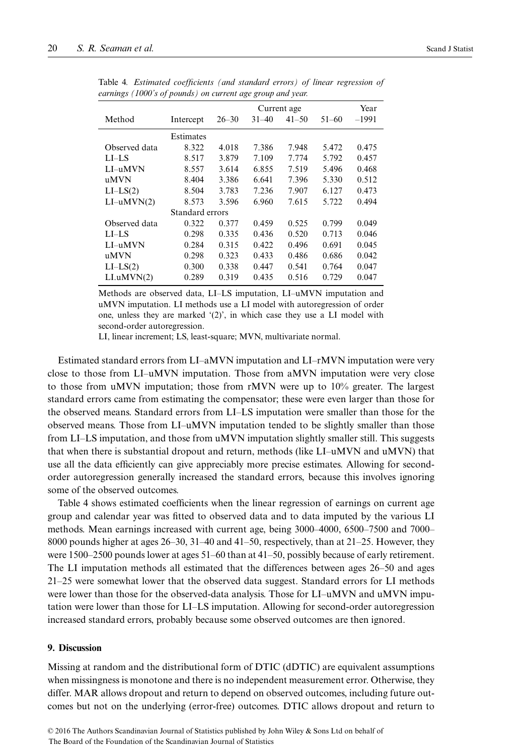<span id="page-19-1"></span>

|                  |           |                 | Year      |           |           |         |  |
|------------------|-----------|-----------------|-----------|-----------|-----------|---------|--|
| Method           | Intercept | $26 - 30$       | $31 - 40$ | $41 - 50$ | $51 - 60$ | $-1991$ |  |
|                  | Estimates |                 |           |           |           |         |  |
| Observed data    | 8.322     | 4.018           | 7.386     | 7.948     | 5.472     | 0.475   |  |
| $LL - LS$        | 8.517     | 3.879           | 7.109     | 7.774     | 5.792     | 0.457   |  |
| $LI$ -uMVN       | 8.557     | 3.614           | 6.855     | 7.519     | 5.496     | 0.468   |  |
| uMVN             | 8.404     | 3.386           | 6.641     | 7.396     | 5.330     | 0.512   |  |
| $LI-LS(2)$       | 8.504     | 3.783           | 7.236     | 7.907     | 6.127     | 0.473   |  |
| $LI$ -u $MVN(2)$ | 8.573     | 3.596           | 6.960     | 7.615     | 5.722     | 0.494   |  |
|                  |           | Standard errors |           |           |           |         |  |
| Observed data    | 0.322     | 0.377           | 0.459     | 0.525     | 0.799     | 0.049   |  |
| $LI$ -LS         | 0.298     | 0.335           | 0.436     | 0.520     | 0.713     | 0.046   |  |
| LI-uMVN          | 0.284     | 0.315           | 0.422     | 0.496     | 0.691     | 0.045   |  |
| uMVN             | 0.298     | 0.323           | 0.433     | 0.486     | 0.686     | 0.042   |  |
| $LI-LS(2)$       | 0.300     | 0.338           | 0.447     | 0.541     | 0.764     | 0.047   |  |
| LI.uMVN(2)       | 0.289     | 0.319           | 0.435     | 0.516     | 0.729     | 0.047   |  |

Table 4*. Estimated coefficients (and standard errors) of linear regression of earnings (1000's of pounds) on current age group and year.*

Methods are observed data, LI–LS imputation, LI–uMVN imputation and uMVN imputation. LI methods use a LI model with autoregression of order one, unless they are marked '(2)', in which case they use a LI model with second-order autoregression.

LI, linear increment; LS, least-square; MVN, multivariate normal.

Estimated standard errors from LI–aMVN imputation and LI–rMVN imputation were very close to those from LI–uMVN imputation. Those from aMVN imputation were very close to those from uMVN imputation; those from rMVN were up to 10% greater. The largest standard errors came from estimating the compensator; these were even larger than those for the observed means. Standard errors from LI–LS imputation were smaller than those for the observed means. Those from LI–uMVN imputation tended to be slightly smaller than those from LI–LS imputation, and those from uMVN imputation slightly smaller still. This suggests that when there is substantial dropout and return, methods (like LI–uMVN and uMVN) that use all the data efficiently can give appreciably more precise estimates. Allowing for secondorder autoregression generally increased the standard errors, because this involves ignoring some of the observed outcomes.

Table [4](#page-19-1) shows estimated coefficients when the linear regression of earnings on current age group and calendar year was fitted to observed data and to data imputed by the various LI methods. Mean earnings increased with current age, being 3000–4000, 6500–7500 and 7000– 8000 pounds higher at ages 26–30, 31–40 and 41–50, respectively, than at 21–25. However, they were 1500–2500 pounds lower at ages 51–60 than at 41–50, possibly because of early retirement. The LI imputation methods all estimated that the differences between ages 26–50 and ages 21–25 were somewhat lower that the observed data suggest. Standard errors for LI methods were lower than those for the observed-data analysis. Those for LI-uMVN and uMVN imputation were lower than those for LI–LS imputation. Allowing for second-order autoregression increased standard errors, probably because some observed outcomes are then ignored.

# <span id="page-19-0"></span>**9. Discussion**

Missing at random and the distributional form of DTIC (dDTIC) are equivalent assumptions when missingness is monotone and there is no independent measurement error. Otherwise, they differ. MAR allows dropout and return to depend on observed outcomes, including future outcomes but not on the underlying (error-free) outcomes. DTIC allows dropout and return to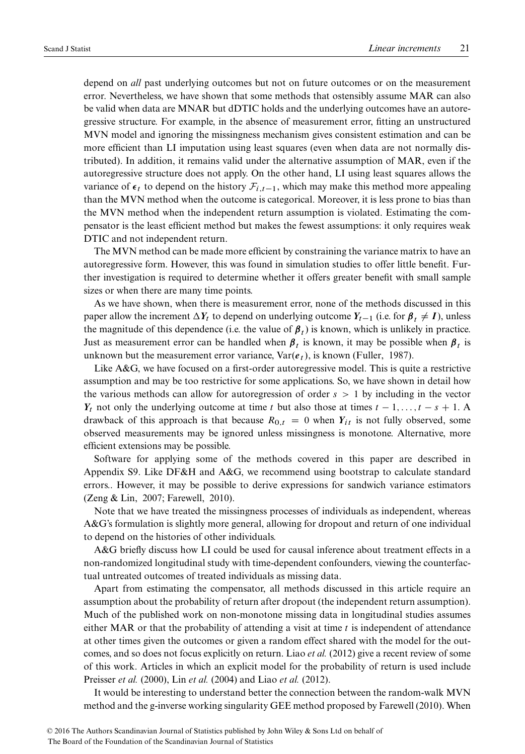depend on *all* past underlying outcomes but not on future outcomes or on the measurement error. Nevertheless, we have shown that some methods that ostensibly assume MAR can also be valid when data are MNAR but dDTIC holds and the underlying outcomes have an autoregressive structure. For example, in the absence of measurement error, fitting an unstructured MVN model and ignoring the missingness mechanism gives consistent estimation and can be more efficient than LI imputation using least squares (even when data are not normally distributed). In addition, it remains valid under the alternative assumption of MAR, even if the autoregressive structure does not apply. On the other hand, LI using least squares allows the variance of  $\epsilon_t$  to depend on the history  $\mathcal{F}_{i,t-1}$ , which may make this method more appealing than the MVN method when the outcome is categorical. Moreover, it is less prone to bias than the MVN method when the independent return assumption is violated. Estimating the compensator is the least efficient method but makes the fewest assumptions: it only requires weak DTIC and not independent return.

The MVN method can be made more efficient by constraining the variance matrix to have an autoregressive form. However, this was found in simulation studies to offer little benefit. Further investigation is required to determine whether it offers greater benefit with small sample sizes or when there are many time points.

As we have shown, when there is measurement error, none of the methods discussed in this paper allow the increment  $\Delta Y_t$  to depend on underlying outcome  $Y_{t-1}$  (i.e. for  $\beta_t \neq I$ ), unless the magnitude of this dependence (i.e. the value of  $\beta_t$ ) is known, which is unlikely in practice. Just as measurement error can be handled when  $\beta_t$  is known, it may be possible when  $\beta_t$  is unknown but the measurement error variance,  $Var(e_t)$ , is known [\(Fuller, 1987\)](#page-21-7).

Like A&G, we have focused on a first-order autoregressive model. This is quite a restrictive assumption and may be too restrictive for some applications. So, we have shown in detail how the various methods can allow for autoregression of order  $s>1$  by including in the vector  $Y_t$  not only the underlying outcome at time t but also those at times  $t - 1, \ldots, t - s + 1$ . drawback of this approach is that because  $R_{0,t} = 0$  when  $Y_{it}$  is not fully observed, some observed measurements may be ignored unless missingness is monotone. Alternative, more efficient extensions may be possible.

Software for applying some of the methods covered in this paper are described in Appendix S9. Like DF&H and A&G, we recommend using bootstrap to calculate standard errors.. However, it may be possible to derive expressions for sandwich variance estimators [\(Zeng & Lin, 2007;](#page-22-2) [Farewell, 2010\)](#page-21-8).

Note that we have treated the missingness processes of individuals as independent, whereas A&G's formulation is slightly more general, allowing for dropout and return of one individual to depend on the histories of other individuals.

A&G briefly discuss how LI could be used for causal inference about treatment effects in a non-randomized longitudinal study with time-dependent confounders, viewing the counterfactual untreated outcomes of treated individuals as missing data.

Apart from estimating the compensator, all methods discussed in this article require an assumption about the probability of return after dropout (the independent return assumption). Much of the published work on non-monotone missing data in longitudinal studies assumes either MAR or that the probability of attending a visit at time  $t$  is independent of attendance at other times given the outcomes or given a random effect shared with the model for the outcomes, and so does not focus explicitly on return. Liao *et al.* [\(2012\)](#page-22-3) give a recent review of some of this work. Articles in which an explicit model for the probability of return is used include [Preisser](#page-22-4) *et al.* (2000), Lin *et al.* [\(2004\)](#page-22-5) and Liao *et al.* [\(2012\)](#page-22-3).

It would be interesting to understand better the connection between the random-walk MVN method and the g-inverse working singularity GEE method proposed by [Farewell \(2010\)](#page-21-8). When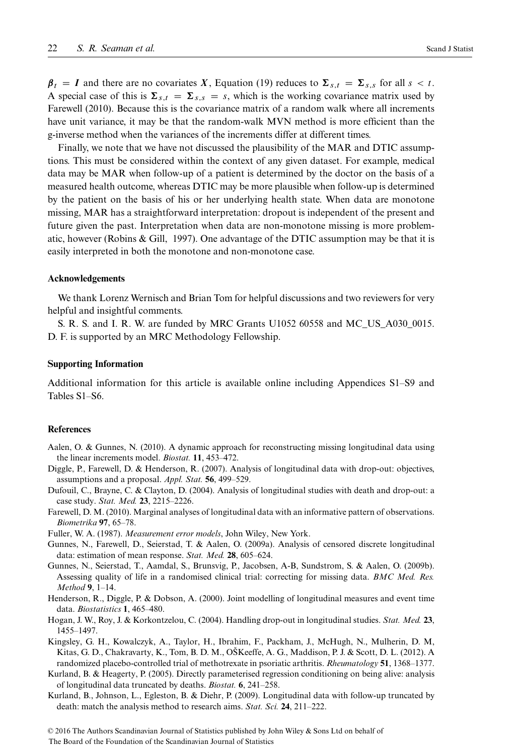$\beta_t = I$  and there are no covariates X, Equation [\(19\)](#page-9-2) reduces to  $\Sigma_{s,t} = \Sigma_{s,s}$  for all  $s < t$ . A special case of this is  $\Sigma_{s,t} = \Sigma_{s,s} = s$ , which is the working covariance matrix used by [Farewell \(2010\)](#page-21-8). Because this is the covariance matrix of a random walk where all increments have unit variance, it may be that the random-walk MVN method is more efficient than the g-inverse method when the variances of the increments differ at different times.

Finally, we note that we have not discussed the plausibility of the MAR and DTIC assumptions. This must be considered within the context of any given dataset. For example, medical data may be MAR when follow-up of a patient is determined by the doctor on the basis of a measured health outcome, whereas DTIC may be more plausible when follow-up is determined by the patient on the basis of his or her underlying health state. When data are monotone missing, MAR has a straightforward interpretation: dropout is independent of the present and future given the past. Interpretation when data are non-monotone missing is more problematic, however [\(Robins & Gill, 1997\)](#page-22-6). One advantage of the DTIC assumption may be that it is easily interpreted in both the monotone and non-monotone case.

#### **Acknowledgements**

We thank Lorenz Wernisch and Brian Tom for helpful discussions and two reviewers for very helpful and insightful comments.

S. R. S. and I. R. W. are funded by MRC Grants U1052 60558 and MC US A030 0015. D. F. is supported by an MRC Methodology Fellowship.

# **Supporting Information**

Additional information for this article is available online including Appendices S1–S9 and Tables S1–S6.

# **References**

- <span id="page-21-0"></span>Aalen, O. & Gunnes, N. (2010). A dynamic approach for reconstructing missing longitudinal data using the linear increments model. *Biostat.* **11**, 453–472.
- <span id="page-21-2"></span>Diggle, P., Farewell, D. & Henderson, R. (2007). Analysis of longitudinal data with drop-out: objectives, assumptions and a proposal. *Appl. Stat.* **56**, 499–529.
- <span id="page-21-4"></span>Dufouil, C., Brayne, C. & Clayton, D. (2004). Analysis of longitudinal studies with death and drop-out: a case study. *Stat. Med.* **23**, 2215–2226.
- <span id="page-21-8"></span>Farewell, D. M. (2010). Marginal analyses of longitudinal data with an informative pattern of observations. *Biometrika* **97**, 65–78.
- <span id="page-21-7"></span>Fuller, W. A. (1987). *Measurement error models*, John Wiley, New York.
- <span id="page-21-3"></span>Gunnes, N., Farewell, D., Seierstad, T. & Aalen, O. (2009a). Analysis of censored discrete longitudinal data: estimation of mean response. *Stat. Med.* **28**, 605–624.
- Gunnes, N., Seierstad, T., Aamdal, S., Brunsvig, P., Jacobsen, A-B, Sundstrom, S. & Aalen, O. (2009b). Assessing quality of life in a randomised clinical trial: correcting for missing data. *BMC Med. Res. Method* **9**, 1–14.
- Henderson, R., Diggle, P. & Dobson, A. (2000). Joint modelling of longitudinal measures and event time data. *Biostatistics* **1**, 465–480.
- <span id="page-21-1"></span>Hogan, J. W., Roy, J. & Korkontzelou, C. (2004). Handling drop-out in longitudinal studies. *Stat. Med.* **23**, 1455–1497.
- Kingsley, G. H., Kowalczyk, A., Taylor, H., Ibrahim, F., Packham, J., McHugh, N., Mulherin, D. M, Kitas, G. D., Chakravarty, K., Tom, B. D. M., OŠKeeffe, A. G., Maddison, P. J. & Scott, D. L. (2012). A randomized placebo-controlled trial of methotrexate in psoriatic arthritis. *Rheumatology* **51**, 1368–1377.
- <span id="page-21-5"></span>Kurland, B. & Heagerty, P. (2005). Directly parameterised regression conditioning on being alive: analysis of longitudinal data truncated by deaths. *Biostat.* **6**, 241–258.
- <span id="page-21-6"></span>Kurland, B., Johnson, L., Egleston, B. & Diehr, P. (2009). Longitudinal data with follow-up truncated by death: match the analysis method to research aims. *Stat. Sci.* **24**, 211–222.

© 2016 The Authors Scandinavian Journal of Statistics published by John Wiley & Sons Ltd on behalf of

The Board of the Foundation of the Scandinavian Journal of Statistics